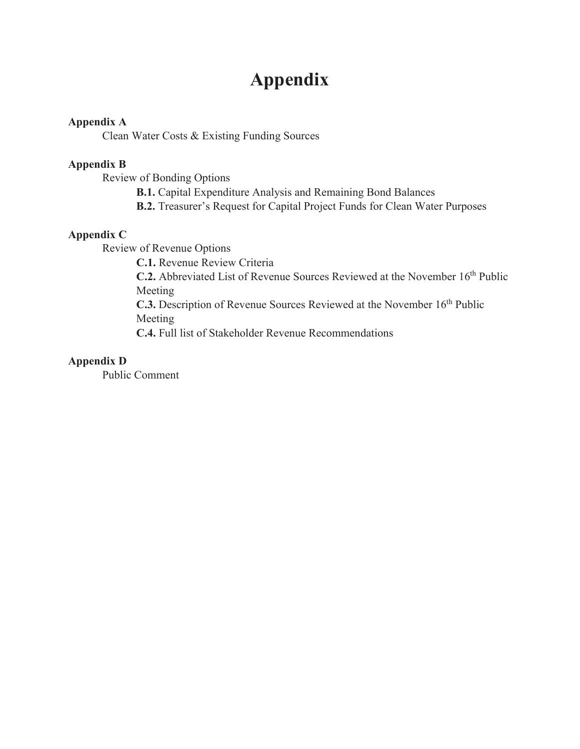# **Appendix**

### **Appendix A**

Clean Water Costs & Existing Funding Sources

### **Appendix B**

Review of Bonding Options

- **B.1.** Capital Expenditure Analysis and Remaining Bond Balances
- **B.2.** Treasurer's Request for Capital Project Funds for Clean Water Purposes

### **Appendix C**

Review of Revenue Options

**C.1.** Revenue Review Criteria

**C.2.** Abbreviated List of Revenue Sources Reviewed at the November 16<sup>th</sup> Public Meeting

C.3. Description of Revenue Sources Reviewed at the November 16<sup>th</sup> Public Meeting

**C.4.** Full list of Stakeholder Revenue Recommendations

### **Appendix D**

Public Comment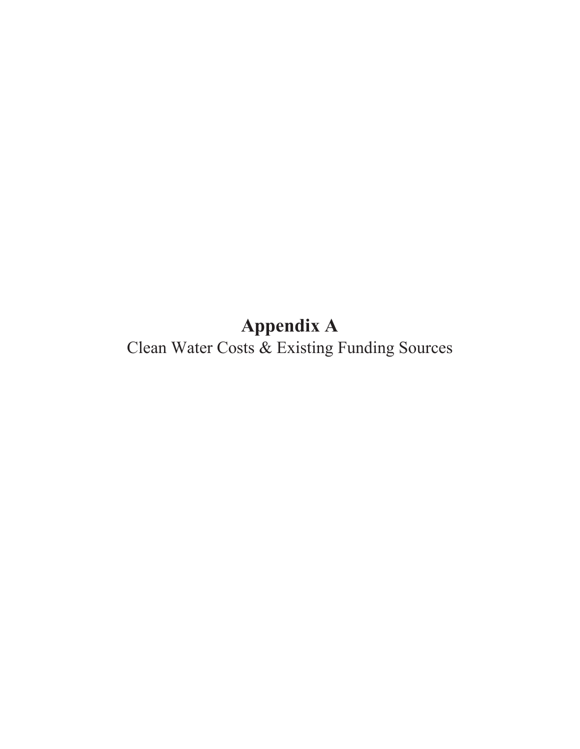**Appendix A**

Clean Water Costs & Existing Funding Sources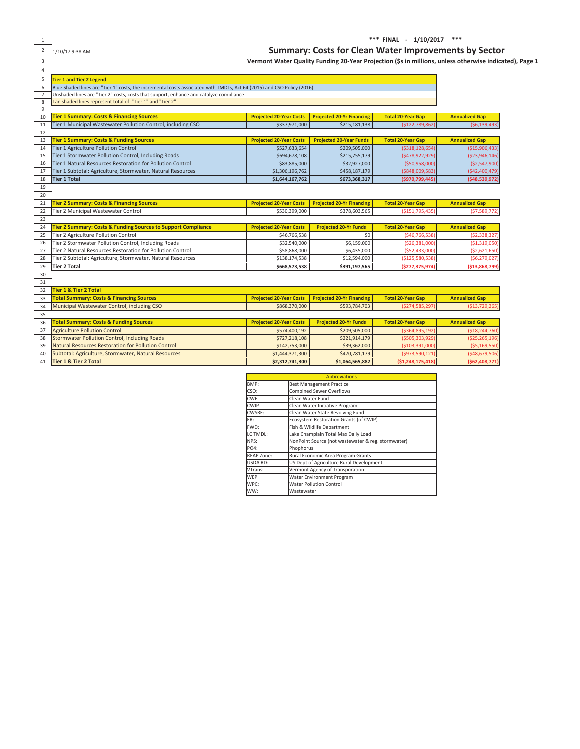1

39 Natural Resources Restoration for Pollution Control 40 Subtotal: Agriculture, Stormwater, Natural Resources

41 **Tier 1 & Tier 2 Total**

3

#### **\*\*\*FINALͲ1/10/2017\*\*\***

**(\$62,408,771)**

#### <sup>2</sup> 1/10/17 9:38 AM **Summary: Costs for Clean Water Improvements by Sector**

\$142,753,000 | \$39,362,000 | \$39,362,000 | \$1,444,371,300 | \$470,781,179 | \$470,781,179 | \$49,679,506) | \$48,679,506

**(\$1,248,175,418)**

\$39,362,000 (\$103,391,<br>\$470,781,179 (\$973,590,

**Vermont Water Quality Funding 20ͲYear Projection (\$s in millions, unless otherwise indicated), Page 1**

| $\overline{4}$                                                                                                              |                                                                                        |                                |                                  |                          |                       |  |  |  |  |  |  |  |
|-----------------------------------------------------------------------------------------------------------------------------|----------------------------------------------------------------------------------------|--------------------------------|----------------------------------|--------------------------|-----------------------|--|--|--|--|--|--|--|
| 5<br><b>Tier 1 and Tier 2 Legend</b>                                                                                        |                                                                                        |                                |                                  |                          |                       |  |  |  |  |  |  |  |
| Blue Shaded lines are "Tier 1" costs, the incremental costs associated with TMDLs, Act 64 (2015) and CSO Policy (2016)<br>6 |                                                                                        |                                |                                  |                          |                       |  |  |  |  |  |  |  |
| $\overline{7}$                                                                                                              | Unshaded lines are "Tier 2" costs, costs that support, enhance and catalyze compliance |                                |                                  |                          |                       |  |  |  |  |  |  |  |
| 8                                                                                                                           | Tan shaded lines represent total of "Tier 1" and "Tier 2"                              |                                |                                  |                          |                       |  |  |  |  |  |  |  |
| 9                                                                                                                           |                                                                                        |                                |                                  |                          |                       |  |  |  |  |  |  |  |
| 10                                                                                                                          | <b>Tier 1 Summary: Costs &amp; Financing Sources</b>                                   | <b>Projected 20-Year Costs</b> | <b>Projected 20-Yr Financing</b> | <b>Total 20-Year Gap</b> | <b>Annualized Gap</b> |  |  |  |  |  |  |  |
| 11                                                                                                                          | Tier 1 Municipal Wastewater Pollution Control, including CSO                           | \$337,971,000                  | \$215,181,138                    | (\$122,789,862)          | (56, 139, 493)        |  |  |  |  |  |  |  |
| 12                                                                                                                          |                                                                                        |                                |                                  |                          |                       |  |  |  |  |  |  |  |
| 13                                                                                                                          | <b>Tier 1 Summary: Costs &amp; Funding Sources</b>                                     | <b>Projected 20-Year Costs</b> | <b>Projected 20-Year Funds</b>   | <b>Total 20-Year Gap</b> | <b>Annualized Gap</b> |  |  |  |  |  |  |  |
| 14                                                                                                                          | Tier 1 Agriculture Pollution Control                                                   | \$527,633,654                  | \$209,505,000                    | (\$318,128,654)          | ( \$15,906,433)       |  |  |  |  |  |  |  |
| 15                                                                                                                          | Tier 1 Stormwater Pollution Control, Including Roads                                   | \$694,678,108                  | \$215,755,179                    | (\$478,922,929)          | ( \$23, 946, 146)     |  |  |  |  |  |  |  |
| 16                                                                                                                          | Tier 1 Natural Resources Restoration for Pollution Control                             | \$83,885,000                   | \$32,927,000                     | (\$50,958,000)           | ( \$2,547,900]        |  |  |  |  |  |  |  |
| 17                                                                                                                          | Tier 1 Subtotal: Agriculture, Stormwater, Natural Resources                            | \$1,306,196,762                | \$458,187,179                    | (\$848,009,583)          | (542, 400, 479)       |  |  |  |  |  |  |  |
| 18                                                                                                                          | <b>Tier 1 Total</b>                                                                    | \$1,644,167,762                | \$673,368,317                    | (\$970,799,445)          | ( \$48,539,972]       |  |  |  |  |  |  |  |
| 19                                                                                                                          |                                                                                        |                                |                                  |                          |                       |  |  |  |  |  |  |  |
| 20                                                                                                                          |                                                                                        |                                |                                  |                          |                       |  |  |  |  |  |  |  |
| 21                                                                                                                          | <b>Tier 2 Summary: Costs &amp; Financing Sources</b>                                   | <b>Projected 20-Year Costs</b> | <b>Projected 20-Yr Financing</b> | <b>Total 20-Year Gap</b> | <b>Annualized Gap</b> |  |  |  |  |  |  |  |
| 22                                                                                                                          | Tier 2 Municipal Wastewater Control                                                    | \$530,399,000                  | \$378,603,565                    | ( \$151, 795, 435]       | (57,589,772)          |  |  |  |  |  |  |  |
| 23                                                                                                                          |                                                                                        |                                |                                  |                          |                       |  |  |  |  |  |  |  |
| 24                                                                                                                          | Tier 2 Summary: Costs & Funding Sources to Support Compliance                          | <b>Projected 20-Year Costs</b> | <b>Projected 20-Yr Funds</b>     | <b>Total 20-Year Gap</b> | <b>Annualized Gap</b> |  |  |  |  |  |  |  |
| 25                                                                                                                          | Tier 2 Agriculture Pollution Control                                                   | \$46,766,538                   | \$0                              | (546, 766, 538)          | (52, 338, 327)        |  |  |  |  |  |  |  |
| 26                                                                                                                          | Tier 2 Stormwater Pollution Control, Including Roads                                   | \$32,540,000                   | \$6,159,000                      | ( \$26, 381, 000]        | ( \$1,319,050)        |  |  |  |  |  |  |  |
| 27                                                                                                                          | Tier 2 Natural Resources Restoration for Pollution Control                             | \$58,868,000                   | \$6,435,000                      | ( \$52,433,000]          | ( \$2,621,650)        |  |  |  |  |  |  |  |
| 28                                                                                                                          | Tier 2 Subtotal: Agriculture, Stormwater, Natural Resources                            | \$138,174,538                  | \$12,594,000                     | ( \$125,580,538]         | (56, 279, 027)        |  |  |  |  |  |  |  |
| 29                                                                                                                          | <b>Tier 2 Total</b>                                                                    | \$668,573,538                  | \$391,197,565                    | (5277, 375, 974)         | (\$13,868,799)        |  |  |  |  |  |  |  |
| 30                                                                                                                          |                                                                                        |                                |                                  |                          |                       |  |  |  |  |  |  |  |
| 31                                                                                                                          |                                                                                        |                                |                                  |                          |                       |  |  |  |  |  |  |  |
| 32                                                                                                                          | Tier 1 & Tier 2 Total                                                                  |                                |                                  |                          |                       |  |  |  |  |  |  |  |
| 33                                                                                                                          | <b>Total Summary: Costs &amp; Financing Sources</b>                                    | <b>Projected 20-Year Costs</b> | <b>Projected 20-Yr Financing</b> | <b>Total 20-Year Gap</b> | <b>Annualized Gap</b> |  |  |  |  |  |  |  |
| 34                                                                                                                          | Municipal Wastewater Control, including CSO                                            | \$868,370,000                  | \$593,784,703                    | (\$274,585,297           | (\$13,729,265]        |  |  |  |  |  |  |  |
| 35                                                                                                                          |                                                                                        |                                |                                  |                          |                       |  |  |  |  |  |  |  |
| 36                                                                                                                          | <b>Total Summary: Costs &amp; Funding Sources</b>                                      | <b>Projected 20-Year Costs</b> | <b>Projected 20-Yr Funds</b>     | <b>Total 20-Year Gap</b> | <b>Annualized Gap</b> |  |  |  |  |  |  |  |
| 37                                                                                                                          | <b>Agriculture Pollution Control</b>                                                   | \$574,400,192                  | \$209,505,000                    | (\$364,895,192)          | ( \$18, 244, 760)     |  |  |  |  |  |  |  |
| 38                                                                                                                          | <b>Stormwater Pollution Control, Including Roads</b>                                   | \$727,218,108                  | \$221,914,179                    | ( \$505, 303, 929)       | (\$25,265,196)        |  |  |  |  |  |  |  |

**\$2,312,741,300**

|                   | <b>Abbreviations</b>                               |
|-------------------|----------------------------------------------------|
| BMP:              | <b>Best Management Practice</b>                    |
| CSO:              | <b>Combined Sewer Overflows</b>                    |
| $CWE$ :           | Clean Water Fund                                   |
| <b>CWIP</b>       | Clean Water Initiative Program                     |
| CWSRF:            | Clean Water State Revolving Fund                   |
| FR:               | Ecosystem Restoration Grants (of CWIP)             |
| FWD:              | Fish & Wildlife Department                         |
| LC TMDL:          | Lake Champlain Total Max Daily Load                |
| NPS:              | NonPoint Source (not wastewater & reg. stormwater) |
| PO4:              | Phophorus                                          |
| <b>REAP Zone:</b> | Rural Economic Area Program Grants                 |
| USDA RD:          | US Dept of Agriculture Rural Development           |
| VTrans:           | Vermont Agency of Transporation                    |
| <b>WFP</b>        | Water Environment Program                          |
| WPC:              | <b>Water Pollution Control</b>                     |
| WW:               | Wastewater                                         |

**\$1,064,565,882**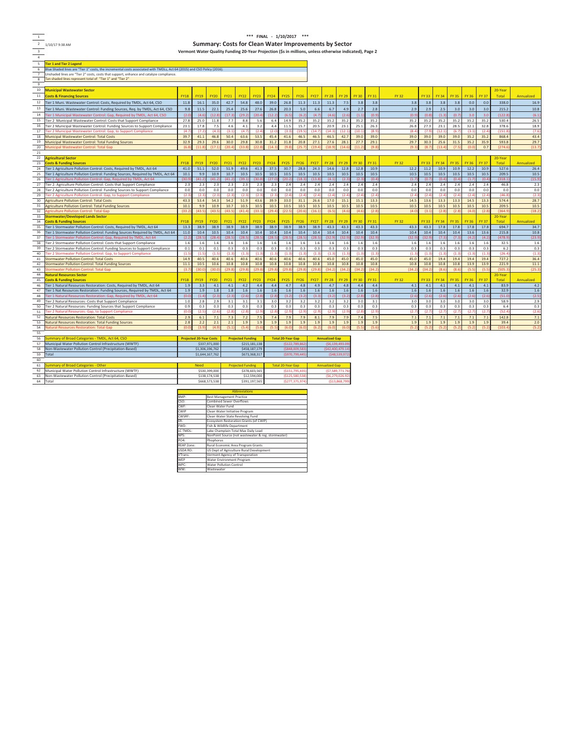1 2 1/10/17 9:38 AM

**\*\*\*FINALͲ1/1Ϭ/201ϳ\*\*\* Summary: Costs for Clean Water Improvements by Sector Vermont Water Quality Funding 20ͲYear Projection (\$s in millions, unless otherwise indicated), Page 2**

3 4 5 **Tier 1 and Tier 2 Legend** 6 Blue Shaded lines are "Tier 1" costs, the incremental costs associated with TMDLs, Act 64 (2015) and CSO Policy (2016).<br>7 Dunshaded lines are "Tier 2" costs, costs that support, enhance and catalyze compliance.<br>8 Tan sha 9

| 10       | <b>Municipal Wastewater Sector</b>                                              |             |                                |                  |              |                          |              |             |                          |             |             |                       |              |              |              |              |              |              |              |              |              | 20-Year          |                |
|----------|---------------------------------------------------------------------------------|-------------|--------------------------------|------------------|--------------|--------------------------|--------------|-------------|--------------------------|-------------|-------------|-----------------------|--------------|--------------|--------------|--------------|--------------|--------------|--------------|--------------|--------------|------------------|----------------|
| 11       | <b>Costs &amp; Financing Sources</b>                                            | <b>FY18</b> | <b>FY19</b>                    | <b>FY20</b>      | <b>FY21</b>  | <b>FY22</b>              | <b>FY23</b>  | <b>FY24</b> | <b>FY25</b>              | <b>FY26</b> | <b>FY27</b> | <b>FY 28</b>          | <b>FY 29</b> | <b>FY 30</b> | <b>FY 31</b> | <b>FY32</b>  | <b>FY 33</b> | <b>FY 34</b> | <b>FY 35</b> | <b>FY 36</b> | <b>FY 37</b> | Total            | Annualized     |
| 12       | Tier 1 Muni. Wastewater Control: Costs, Required by TMDL, Act 64, CSO           | 11.8        | 16.1                           | 35.0             | 42.7         | 54.8                     | 48.0         | 39.0        | 26.8                     | 11.3        | 11.3        | 11.3                  | 7.5          | 3.8          | 3.8          | 3.8          | 3.8          | 3.8          | 3.8          | 0.0          | 0.0          | 338.0            | 16.9           |
| 13       | Tier 1 Muni. Wastewater Control: Funding Sources, Req. by TMDL, Act 64, CSO     | 9.8         | 11.5                           | 22.1             | 25.4         | 25.6                     | 27.6         | 26.8        | 20.3                     | 5.0         | 6.6         | 6.7                   | 4.9          | 2.7          | 2.8          | 2.9          | 2.9          | 2.5          | 3.0          | 3.0          | 3.0          | 215.2            | 10.8           |
|          | Fier 1 Municipal Wastewater Control: Gap, Required by TMDL, Act 64, CSO         | (2.0)       | (4.6)                          | (12.8)           | (17.3)       | (29.7)                   | (20.4)       | (12.2)      | (6.5)                    | (6.2)       | (4.7)       | (4.6)                 | (2.6)        | (1.1)        | (0.9)        | (0.5)        | (0.8)        | (1.3)        | (0.7)        | 3.0          | 3.0          | (122.8)          | (6.1)          |
| 15       | Tier 2 Municipal Wastewater Control: Costs that Support Compliance              | 27.8        | 25.0                           | 11.8             | 7.7          | 8.8                      | 5.6          | 6.4         | 14.9                     | 35.2        | 35.2        | 35.2                  | 35.2         | 35.2         | 35.2         | 35.2         | 35.2         | 35.2         | 35.2         | 35.2         | 35.2         | 530.4            | 26.5           |
|          | Tier 2 Municipal Wastewater Control: Funding Sources to Support Compliance      | 23.1        | 17.8                           | 7.5              | 4.6          | 4.1                      | 3.2          | 4.4         | 11.5                     | 15.7        | 20.5        | 20.9                  | 23.1         | 25.1         | 26.3         | 26.8         | 27.3         | 23.1         | 28.5         | 32.1         | 32.8         | 378.6            | 18.9           |
|          | Fier 2 Municipal Wastewater Control: Gap, to Support Compliance                 | (4.7)       | (7.2)                          | (4.3)            | (3.1)        | (4)                      | (2.4)        | (2.0)       | (3.3)                    | (19.        | (14.7)      | (14.3)                | (12.5)       | (10.         | (8.9)        | (8,          | (7.5)        | (12)         | (6.7)        | (3.1)        | (2)          | (151.8)          | (7.6)          |
|          | Municipal Wastewater Control: Total Costs                                       | 39.7        | 41.1                           | 46.8             | 50.4         | 63.6                     | 53.5         | 45.4        | 41.6                     | 46.5        | 46.5        | 46.5                  | 42.7         | 39.0         | 39.0         | 39.0         | 39.0         | 39.0         | 39.0         | 35.2         | 35.2         | 868.4            | 43.4           |
|          | Municipal Wastewater Control: Total Funding Sources                             | 32.9        | 29.3                           | 29.6             | 30.0         | 29.8                     | 30.8         | 31.2        | 31.8                     | 20.8        | 27.1        | 27.6                  | 28.1         | 27.7         | 29.1         | 29.7         | 30.3         | 25.6         | 31.5         | 35.2         | 35.9         | 593.8            | 29.7           |
| 20       | Aunicipal Wastewater Control: Total Gar                                         |             |                                | 17 <sub>17</sub> | 120          | 133                      | (22)         |             |                          |             |             |                       | 14.          | (11.         |              | (9)          |              |              |              |              | 0.7          | (274.            | (13.7)         |
| 21       |                                                                                 |             |                                |                  |              |                          |              |             |                          |             |             |                       |              |              |              |              |              |              |              |              |              |                  |                |
| 22       | <b>Agricultural Sector</b>                                                      |             |                                |                  |              |                          |              |             |                          |             |             |                       |              |              |              |              |              |              |              |              |              | 20-Year          |                |
| 23       | <b>Costs &amp; Funding Sources</b>                                              | <b>FY18</b> | <b>FY19</b>                    | <b>FY20</b>      | <b>FY21</b>  | <b>FY22</b>              | <b>FY23</b>  | <b>FY24</b> | <b>FY25</b>              | <b>FY26</b> | <b>FY27</b> | <b>FY 28</b>          | <b>FY 29</b> | <b>FY 30</b> | <b>FY 31</b> | <b>FY 32</b> | <b>FY 33</b> | <b>FY 34</b> | <b>FY 35</b> | <b>FY 36</b> | <b>FY 37</b> | Total            | Annualized     |
| 24       | Tier 1 Agriculture Pollution Control: Costs, Required by TMDL, Act 64           | 41.0        | 51.1                           | 52.0             | 51.9         | 49.6                     | 41.3         | 37.5        | 30.7                     | 28.8        | 24.3        | 14.6                  | 12.8         | 12.8         | 10.9         | 12.2         | 11.2         | 10.9         | 10.9         | 12.2         | 10.9         | 527.6            | 26.4           |
| 25       | Tier 1 Agriculture Pollution Control: Funding Sources, Required by TMDL, Act 64 | 10.1        | 9.9                            | 10.9             | 10.7         | 10.5                     | 10.5         | 10.5        | 10.5                     | 10.5        | 10.5        | 10.5                  | 10.5         | 10.5         | 10.5         | 10.5         | 10.5         | 10.5         | 10.5         | 10.5         | 10.5         | 209.5            | 10.5           |
| 26       | Tier 1 Agriculture Pollution Control: Gap, Required by TMDL, Act 64             | (30.9)      | (41.2)                         | (41.2)           | (41.2)       | (39)                     | (30.8)       | (27,        | (20.2)                   | (18.3)      | (13.8)      | (4.1)                 | (2.3)        | (2.3)        | (0.4)        | (1.1)        | (0.7)        | (0.4)        | (0.4)        | (1.7)        | (0.4)        | (318.1)          | (15.9)         |
|          | Tier 2: Agriculture Pollution Control: Costs that Support Compliance            | 2.3         | 2.3                            | 2.3              | 2.3          | 2.3                      | 2.3          | 2.3         | 2.4                      | 2.4         | 2.4         | 2.4                   | 2.4          | 2.4          | 2.4          | 2.4          | 2.4          | 2.4          | 2.4          | 2.4          | 2.4          | 46.8             | 2.3            |
| 28       | Tier 2 Agriculture Pollution Control: Funding Sources to Support Compliance     | 0.0         | 0.0                            | 0.0              | 0.0          | 0.0                      | 0.0          | 0.0         | 0.0                      | 0.0         | 0.0         | 0.0                   | 0.0          | 0.0          | 0.0          | 0.0          | 0.0          | 0.0          | 0.0          | 0.0          | 0.0          | 0.0              | 0.0            |
| 29       | Tier 2 Agriculture Pollution Control: Gap, to Support Compliance                | (2.3)       | (2.3)                          | (2.3)            | (2.3)        | (2)                      | (2.3)        | (2.3)       | (2.4)                    | (2.4)       | (2.4)       | (2.4)                 | (2)          | (2.4)        | (2.4)        | (2)          | (2.4)        | (2.4)        | (2.4)        | (2.4)        | (2.4)        | (46.8)           | (2.3)          |
|          | <b>Agriculture Pollution Control: Total Costs</b>                               | 43.3        | 53.4                           | 54.3             | 54.2         | 51.9                     | 43.6         | 39.9        | 33.0                     | 31.1        | 26.6        | 17.0                  | 15.1         | 15.1         | 13.3         | 14.5         | 13.6         | 13.3         | 13.3         | 14.5         | 13.3         | 574.4            | 28.7           |
| 31       | <b>Agriculture Pollution Control: Total Funding Sources</b>                     | 10.1        | 9.9                            | 10.9             | 10.7<br>(43) | 10.5<br>(41)             | 10.5<br>(33) | 10.5        | 10.5                     | 10.5        | 10.5        | 10.5                  | 10.5         | 10.5         | 10.5         | 10.5         | 10.5         | 10.5         | 10.5         | 10.5<br>14.0 | 10.5         | 209.5<br>(364.9) | 10.5<br>(18.3) |
| 32       | griculture Pollution Control: Total Gap                                         | (33         |                                | (43.             |              |                          |              | (29         |                          |             | 16.1        | (6.5)                 | (4,          | (4)          |              | (4)          | (3)          |              |              |              | (2.3)        |                  |                |
| 33<br>34 | <b>Stormwater/Developed Lands Sector</b><br><b>Costs &amp; Funding Sources</b>  | <b>FY18</b> | <b>FY19</b>                    | <b>FY20</b>      | <b>FY21</b>  | <b>FY22</b>              | <b>FY23</b>  | <b>FY24</b> | <b>FY25</b>              | <b>FY26</b> | <b>FY27</b> | <b>FY 28</b>          | <b>FY 29</b> | <b>FY 30</b> | <b>FY 31</b> | <b>FY 32</b> | <b>FY 33</b> | <b>FY 34</b> | <b>FY 35</b> | <b>FY 36</b> | <b>FY 37</b> | 20-Year<br>Total | Annualized     |
|          | Tier 1 Stormwater Pollution Control: Costs, Required by TMDL, Act 64            | 13.3        | 38.9                           | 38.9             | 38.9         | 38.9                     | 38.9         | 38.9        | 38.9                     | 38.9        | 38.9        | 43.3                  | 43.3         | 43.3         | 43.3         | 43.3         | 43.3         | 17.8         | 17.8         | 17.8         | 17.8         | 694.7            | 34.7           |
|          | Tier 1 Stormwater Pollution Control: Funding Sources Required by TMDL, Act 64   | 11.0        | 10.4                           | 10.5             | 10.4         | 10.4                     | 10.4         | 10.4        | 10.4                     | 10.4        | 10.4        | 10.4                  | 10.4         | 10.4         | 10.4         | 10.4         | 10.4         | 10.4         | 10.4         | 13.6         | 13.6         | 215.8            | 10.8           |
| 37       | Fier 1 Stormwater Pollution Control: Gap. Required by TMDL. Act 64              | (2.2)       | (28.5)                         | (28.4)           | (28.5)       | (28.                     | (28.5)       | (28.        | (28.5)                   | (28.5)      | (28.5)      | (32.9)                | (32.9)       | (32.9)       | (32.9)       | (32)         | (32.9)       | (7.3)        | (7.3)        | (4.2)        | (4.2)        | (478.9           | (23.9)         |
| 38       | Tier 2 Stormwater Pollution Control: Costs that Support Compliance              | 1.6         | 1.6                            | 1.6              | 1.6          | 1.6                      | 1.6          | 1.6         | 1.6                      | 1.6         | 1.6         | 1.6                   | 1.6          | 1.6          | 1.6          | 1.6          | 1.6          | 1.6          | 1.6          | 1.6          | 1.6          | 32.5             | 1.6            |
| 39       | Tier 2 Stormwater Pollution Control: Funding Sources to Support Compliance      | 0.1         | 0.1                            | 0.1              | 0.3          | 0.3                      | 0.3          | 0.3         | 0.3                      | 0.3         | 0.3         | 0.3                   | 0.3          | 0.3          | 0.3          | 0.3          | 0.3          | 0.3          | 0.3          | 0.3          | 0.3          | 6.2              | 0.3            |
| 40       | Fier 2 Stormwater Pollution Control: Gap, to Support Compliance                 | (1.5)       | (1.5)                          | (1.5)            | (1.3)        | (1.3)                    | (1.3)        | (1.3)       | (1.3)                    | (1.3)       | (1.3)       | (1.3)                 | (1.3)        | (1.3)        | (1.3)        | (1.5)        | (1.3)        | (1.3)        | (1.3)        | (1.3)        | (1.3)        | (26.4)           | (1.3)          |
| 41       | <b>Stormwater Pollution Control: Total Costs</b>                                | 14.9        | 40.5                           | 40.6             | 40.6         | 40.6                     | 40.6         | 40.6        | 40.6                     | 40.6        | 40.6        | 45.0                  | 45.0         | 45.0         | 45.0         | 45.0         | 45.0         | 19.4         | 19.4         | 19.4         | 19.4         | 727.2            | 36.4           |
| 42       | Stormwater Pollution Control: Total Funding Sources                             | 11.1        | 10.5                           | 10.6             | 10.8         | 10.8                     | 10.8         | 10.8        | 10.8                     | 10.8        | 10.8        | 10.8                  | 10.8         | 10.8         | 10.8         | 10.8         | 10.8         | 10.8         | 10.8         | 13.9         | 13.9         | 221.9            | 11.1           |
| 43       | <b>itormwater Pollution Control: Total Gap</b>                                  | (3.7)       | (30.0)                         | (30.0)           | (29.3)       | (29)                     | (29.8)       | (29)        | (29.8)                   | (29)        | (29.8)      | (34.7)                | (34.7)       | (34.2)       | (34.7)       | (34)         | (34.2)       | (8.6)        | (8)          | (5.5)        | (5.5)        | (505.3)          | (25.3)         |
| 44       | <b>Natural Resources Sector</b>                                                 |             |                                |                  |              |                          |              |             |                          |             |             |                       |              |              |              |              |              |              |              |              |              | 20-Year          |                |
| 45       | <b>Costs &amp; Funding Sources</b>                                              | <b>FY18</b> | <b>FY19</b>                    | <b>FY20</b>      | <b>FY21</b>  | <b>FY22</b>              | <b>FY23</b>  | <b>FY24</b> | <b>FY25</b>              | <b>FY26</b> | <b>FY27</b> | <b>FY 28</b>          | <b>FY 29</b> | <b>FY 30</b> | <b>FY 31</b> | <b>FY32</b>  | <b>FY 33</b> | <b>FY 34</b> | <b>FY 35</b> | <b>FY 36</b> | <b>FY 37</b> | Total            | Annualized     |
| 46       | Tier 1 Natural Resources Restoration: Costs, Required by TMDL, Act 64           | 1.9         | 3.3                            | 4.1              | 4.1          | 4.2                      | 4.4          | 4.4         | 4.7                      | 4.8         | 4.9         | 4.7                   | 4.8          | 4.4          | 4.4          | 4.1          | 4.1          | 4.1          | 4.1          | 4.1          | 4.1          | 83.9             | 4.2            |
| 47       | Tier 1 Nat Resources Restoration: Funding Sources, Required by TMDL, Act 64     | 1.9         | 1.9                            | 1.8              | 1.8          | 1.6                      | 1.6          | 1.6         | 1.6                      | 1.6         | 1.6         | 1.6                   | 1.6          | 1.6          | 1.6          | 1.6          | 1.6          | 1.6          | 1.6          | 1.6          | 1.6          | 32.9             | 1.6            |
| 48       | Tier 1 Natural Resources Restoration: Gap, Required by TMDL, Act 64             | (0.0)       | (1.4)                          | (2.3)            | (2.3)        | (2.1)                    | (2.8)        | (2.8)       | (3.2)                    | (3.2)       | (3.3)       | (3.2)                 | (3.3)        | (2.8)        | (2.8)        | (2.0)        | (2.6)        | (2.6)        | (2.6)        | (2.6)        | (2.6)        | (51.0            | (2.5)          |
| 49       | Tier 2 Natural Resources: Costs that Support Compliance                         | 1.0         | 2.8                            | 2.9              | 3.1          | 3.3                      | 3.1          | 3.0         | 3.2                      | 3.2         | 3.2         | 3.2                   | 3.2          | 3.0          | 3.1          | 3.0          | 3.0          | 3.0          | 3.0          | 3.0          | 3.0          | 58.9             | 2.9            |
| 50       | Tier 2 Natural Resources: Funding Sources that Support Compliance               | 0.9         | 0.3                            | 0.3              | 0.3          | 0.3                      | 0.3          | 0.3         | 0.3                      | 0.3         | 0.3         | 0.3                   | 0.3          | 0.3          | 0.3          | 0.3          | 0.3          | 0.3          | 0.3          | 0.3          | 0.3          | 6.4              | 0.3            |
| 51       | Fier 2 Natural Resources: Gap, to Support Compliance                            | ln f        | (2.5)                          | (2.6)            | (2.8)        | (2)                      | (2.9)        | (2.8)       | (2.9)                    | (2.9)       | (2.9)       | (2.9)                 | (2.5)        | (2.8)        | (2.9)        | (2.7)        | (2.7)        | (2.7)        | (2.7)        | (2.7)        | (2.7)        | (52.4)           | (2.6)          |
| 52       | Natural Resources Restoration: Total Costs                                      | 2.9         | 6.1                            | 7.1              | 7.3          | 7.2                      | 7.5          | 7.4         | 7.9                      | 7.9         | 8.1         | 7.9                   | 7.9          | 7.4          | 7.5          | 7.1          | 7.1          | 7.1          | 7.1          | 7.1          | 7.1          | 142.8            | 7.1            |
| 53       | Natural Resources Restoration: Total Funding Sources                            | 2.8         | 2.2                            | 2.1              | 2.1          | 1.9                      | 1.9          | 1.9         | 1.9                      | 1.9         | 1.9         | 1.9                   | 1.9          | 1.9          | 1.9          | 1.9          | 1.9          | 1.9          | 1.9          | 1.9          | 1.9          | 39.4             | 2.0            |
| 54       | <b>Natural Resources Restoration: Total Gar</b>                                 |             | (3.9)                          | (4.9)            | (5.1)        | (5.                      | (5.6)        |             | 16.0                     | (6.0)       | (6.2)       | (6.0)                 | (6.0)        | (5.5)        | (5.6)        | (5.2)        | (5.2)        | (5.7)        | (5.2)        | (5.2)        | (5.3)        | (103.4)          | (5.2)          |
| 5S<br>56 |                                                                                 |             |                                |                  |              |                          |              |             |                          |             |             |                       |              |              |              |              |              |              |              |              |              |                  |                |
|          | Summary of Broad Categories - TMDL, Act 64, CSO                                 |             | <b>Projected 20-Year Costs</b> |                  |              | <b>Projected Funding</b> |              |             | <b>Total 20-Year Gap</b> |             |             | <b>Annualized Gap</b> |              |              |              |              |              |              |              |              |              |                  |                |

| 55 |                                                         |                                |                          |                          |                       |
|----|---------------------------------------------------------|--------------------------------|--------------------------|--------------------------|-----------------------|
| 56 | Summary of Broad Categories - TMDL, Act 64, CSO         | <b>Projected 20-Year Costs</b> | <b>Projected Funding</b> | <b>Total 20-Year Gap</b> | <b>Annualized Gap</b> |
| 57 | Municipal Water Pollution Control Infrastructure (WWTF) | \$337,971,000                  | \$215,181,138            | ( \$122, 789, 862]       | (56, 139, 493.09)     |
| 58 | Non-Wastewater Pollution Control (Precipitation-Based)  | \$1,306,196,762                | \$458,187,179            | (\$848,009,583)          | (542, 400, 479.14)    |
| 59 | Total                                                   | \$1,644,167,762                | \$673,368,317            | (\$970,799,445)          | (\$48,539,972)        |
| 60 |                                                         |                                |                          |                          |                       |
| 61 | Summary of Broad Categories - Other                     | Need                           | <b>Projected Funding</b> | <b>Total 20-Year Gap</b> | <b>Annualized Gap</b> |
| 62 | Municipal Water Pollution Control Infrastructure (WWTF) | \$530,399,000                  | \$378,603,565            | (\$151,795,435)          | (\$7,589,771,76)      |
| 63 | Non-Wastewater Pollution Control (Precipitation-Based)  | \$138,174,538                  | \$12,594,000             | ( \$125,580,538]         | (56, 279, 026.92)     |
| 64 | Total                                                   | \$668,573,538                  | \$391.197.565            | (\$277,375,974           | ( \$13,868,799]       |

|                    | <b>Abbreviations</b>                               |
|--------------------|----------------------------------------------------|
| RMP:               | <b>Best Management Practice</b>                    |
| CSO:               | <b>Combined Sewer Overflows</b>                    |
| CWF:               | Clean Water Fund                                   |
| CWIP               | Clean Water Initiative Program                     |
| CWSRF <sup>-</sup> | Clean Water State Revolving Fund                   |
| FR:                | Ecosystem Restoration Grants (of CWIP)             |
| FWD:               | Fish & Wildlife Department                         |
| <b>ICTMDL:</b>     | Lake Champlain Total Max Daily Load                |
| NPS:               | NonPoint Source (not wastewater & reg. stormwater) |
| PO4:               | Phophorus                                          |
| REAP Zone:         | Rural Economic Area Program Grants                 |
| <b>USDA RD:</b>    | US Dept of Agriculture Rural Development           |
| VTrans:            | Vermont Agency of Transporation                    |
| <b>WFP</b>         | Water Environment Program                          |
| WPC-               | <b>Water Pollution Control</b>                     |
| WW:                | Wastewater                                         |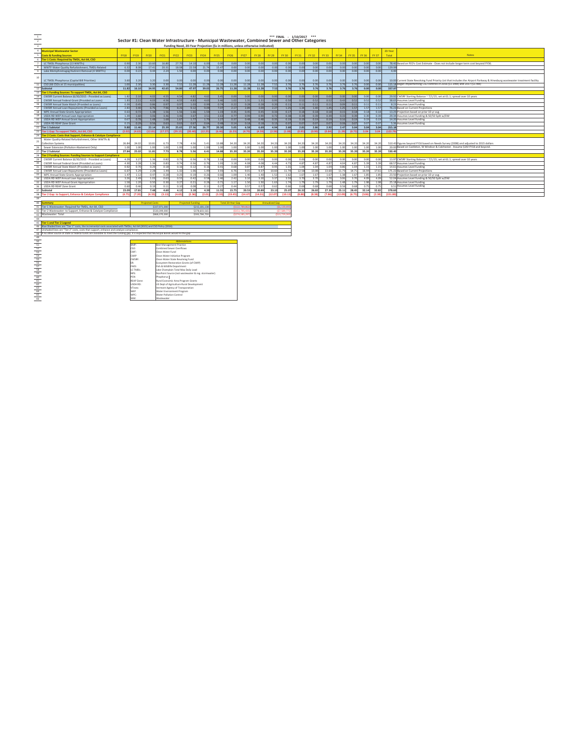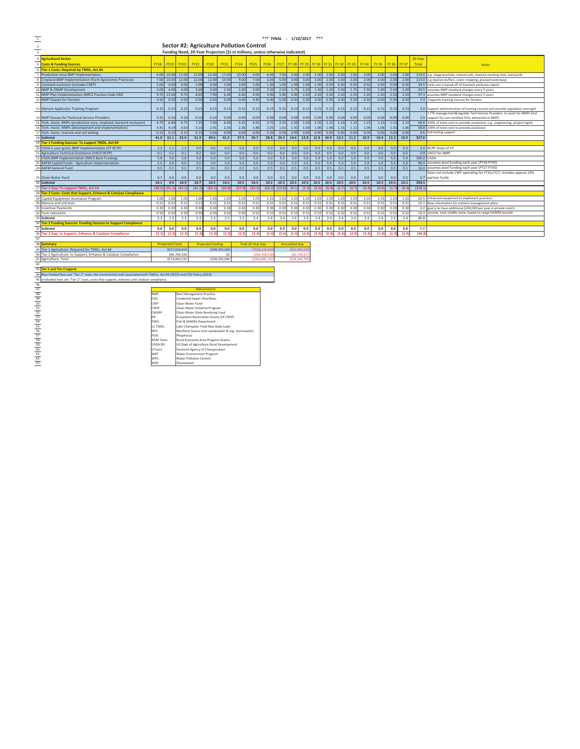|                                                                                  |                                                                                                                        |                 |                        |               |                                          |                          |               |                                                                                |                          | *** FINAL - 1/10/2017 *** |             |                       |               |             |                |       |              |              |              |              |              |            |                                                                                                                                                                 |
|----------------------------------------------------------------------------------|------------------------------------------------------------------------------------------------------------------------|-----------------|------------------------|---------------|------------------------------------------|--------------------------|---------------|--------------------------------------------------------------------------------|--------------------------|---------------------------|-------------|-----------------------|---------------|-------------|----------------|-------|--------------|--------------|--------------|--------------|--------------|------------|-----------------------------------------------------------------------------------------------------------------------------------------------------------------|
|                                                                                  |                                                                                                                        |                 |                        |               |                                          |                          |               | Sector #2: Agriculture Pollution Control                                       |                          |                           |             |                       |               |             |                |       |              |              |              |              |              |            |                                                                                                                                                                 |
|                                                                                  |                                                                                                                        |                 |                        |               |                                          |                          |               | Funding Need, 20-Year Projection (\$s in millions, unless otherwise indicated) |                          |                           |             |                       |               |             |                |       |              |              |              |              |              |            |                                                                                                                                                                 |
|                                                                                  |                                                                                                                        |                 |                        |               |                                          |                          |               |                                                                                |                          |                           |             |                       |               |             |                |       |              |              |              |              |              |            |                                                                                                                                                                 |
|                                                                                  | <b>Agricultural Sector</b>                                                                                             |                 |                        |               |                                          |                          |               |                                                                                |                          |                           |             |                       |               |             |                |       |              |              |              |              |              | 20-Year    |                                                                                                                                                                 |
|                                                                                  | <b>Costs &amp; Funding Sources</b>                                                                                     | <b>FY18</b>     | <b>FY19</b>            | <b>FY20</b>   | <b>FY21</b>                              | <b>FY22</b>              | <b>FY23</b>   | <b>FY24</b>                                                                    | <b>FY25</b>              | <b>FY26</b>               | <b>FY27</b> | <b>FY 28</b>          | FY 29         | <b>FY30</b> | FY 31 FY 32    |       | <b>FY 33</b> | <b>FY 34</b> | <b>FY 35</b> | <b>FY 36</b> | <b>FY 37</b> | Total      | <b>Notes</b>                                                                                                                                                    |
|                                                                                  | <b>Tier 1 Costs: Required by TMDL, Act 64</b>                                                                          |                 |                        |               |                                          |                          |               |                                                                                |                          |                           |             |                       |               |             |                |       |              |              |              |              |              |            |                                                                                                                                                                 |
|                                                                                  | Production Area BMP Implementation                                                                                     |                 | 9.00 10.00             | 11.00         | 12.00                                    | 12.00                    | 11.00         | 10.00                                                                          | 9.00                     | 8.00                      | 7.00        | 2.00                  | 2.00          | 2.00        | 2.00           | 2.00  | 2.00         | 2.00         | 2.00         | 2.00         | 2.01         | 119.0      | e.g. silage leachate, manure pits, manure stacking sites, barnyards                                                                                             |
|                                                                                  | Cropland BMP Implementation (Farm Agronomic Practices)                                                                 | 7.00            | 10.00                  | 12.00         | 12.00                                    | 12.00                    | 10.00         | 9.00                                                                           | 7.00                     | 6.00                      | 5.00        | 3.00                  | 3.00          | 3.00        | 2.00           | 2.00  | 2.00         | 2.00         | 2.00         | 2.00         | 2.00         | 113.0      | e.g riparian buffers, cover cropping, grassed waterways                                                                                                         |
|                                                                                  | Livestock exclusion (includes CREP)                                                                                    | 3.00            | 4.00                   | 4.00          | 5.00                                     | 4.00                     | 3.00          | 2.00                                                                           | 1.00                     | 1.00                      | 1.00        | 1.00                  | 1.00          | 1.00        | 0.50           | 0.50  | 0.50         | 0.50         | 0.50         | 0.50         | 0.50         | 34.5       | total cost is based off of livestock exclusion report                                                                                                           |
|                                                                                  | NMP & CNMP Development                                                                                                 | 3.00            | 4.00                   | 4.00          | 3.00                                     | 3.00                     | 2.00          | 2.00                                                                           | 2.00                     | 2.50                      | 2.50        | 1.75                  | 1.50          | 1.50        | 1.50           | 2.50  | 1.7!         | 1.50         | 1.50         | 2.50         | 1.50         | 45.5       | assumes NMP standard changes every 5 years                                                                                                                      |
|                                                                                  | NMP Plan Implementation (NRCS Practice Code 590)                                                                       | 9.75            | 12.00                  | 9.75          | 8.65                                     | 7.90                     | 6.40          | 6.40                                                                           | 4.90                     | 4.90                      | 3.40        | 3.40                  | 2.20          | 2.20        | 2.20           | 2.20  | 2.20         | 2.20         | 2.20         | 2.20         | 2.20         |            | 97.3 assumes NMP standard changes every 5 years                                                                                                                 |
|                                                                                  | <b>NMP Classes for Farmers</b>                                                                                         | 0.50            | 0.50                   | 0.50          | 0.50                                     | 0.50                     | 0.40          | 0.40                                                                           | 0.40                     | 0.40                      | 0.30        | 0.30                  | 0.30          | 0.30        | 0.30           | 0.30  | 0.30         | 0.30         | 0.30         | 0.30         | 0.30         |            | 7.4 Supports training courses for farmers                                                                                                                       |
|                                                                                  |                                                                                                                        | 0.15            | 0.15                   | 0.15          | 0.15                                     | 0.15                     | 0.15          | 0.15                                                                           | 0.15                     | 0.15                      | 0.15        | 0.15                  | 0.15          | 0.15        | 0.15           | 0.15  | 0.15         | 0.15         | 0.15         | 0.15         | 0.15         |            |                                                                                                                                                                 |
|                                                                                  | Manure Applicator Training Program                                                                                     |                 |                        |               |                                          |                          |               |                                                                                |                          |                           |             |                       |               |             |                |       |              |              |              |              |              |            | 3.0 Support administration of training courses and provide regulatory oversight<br>1 FTE manage, train&regulate Tech Service Providers to assist for NMPs (incl |
|                                                                                  | NMP Classes for Technical Service Providers                                                                            | 0.25            | 0.10                   | 0.10          | 0.10                                     | 0.10                     | 0.09          | 0.09                                                                           | 0.09                     | 0.09                      | 0.09        | 0.09                  | 0.09          | 0.09        | 0.09           | 0.09  | 0.09         | 0.09         | 0.09         | 0.09         | 0.09         |            | 2.0 support for non-certified SFOs interested in NMP)                                                                                                           |
|                                                                                  | Tech. Assist.-BMPs (production area, cropland, livestock exclusion)                                                    | 4.75            | 6.00                   | 6.75          | 7.25                                     | 7.00                     | 6.00          | 5.25                                                                           | 4.25                     | 3.75                      | 3.25        | 1.50                  | 1.50          | 1.50        | 1.13           | 1.13  | 1.13         | 1.13         | 1.13         | 1.13         | 1.13         |            | 66.6 100% of total costs to provide assistance, e.g., engineering, project mgmt                                                                                 |
|                                                                                  | Tech. Assist.-NMPs (development and implementation)                                                                    | 3.41            | 4.19                   | 3.63          | 3.10                                     | 2.91                     | 2.26          | 2.26                                                                           | 1.88                     | 2.01                      | 1.61        | 1.42                  | 1.06          | 1.06        | 1.06           | 1.31  | 1.12         | 1.06         | 1.06         | 1.31         | 1.06         |            | 38.8 100% of total costs to provide assistance                                                                                                                  |
|                                                                                  | Tech. Assist.-manure and soil testing                                                                                  | 0.15            | 0.15                   | 0.15          | 0.15                                     | 0.00                     | 0.00          | 0.00                                                                           | 0.00                     | 0.00                      | 0.00        | 0.00                  | 0.00          | 0.00        | 0.00           | 0.00  | 0.00         | 0.00         | 0.00         | 0.00         | 0.01         | 0.6        | Soil testing support                                                                                                                                            |
|                                                                                  | Subtotal                                                                                                               |                 | $41.0$ 51.1            | 52.0          | 51.9                                     | 49.6                     | 41.3          | 37.5                                                                           | 30.7                     | 28.8                      | 24.3        |                       | $14.6$ 12.8   | 12.8        | 10.9           | 12.2  | 11.2         | 10.9         | 10.9         | 12.2         | 10.9         | 527.6      |                                                                                                                                                                 |
|                                                                                  | <b>Tier 1 Funding Sources: To support TMDL, Act 64</b>                                                                 |                 |                        |               |                                          |                          |               |                                                                                |                          |                           |             |                       |               |             |                |       |              |              |              |              |              |            |                                                                                                                                                                 |
|                                                                                  | USDA 5-year grant, BMP Implementation (VT RCPP)                                                                        | 1.1             | 1.1                    | 1.1           | 0.0                                      | 0.0                      | 0.0           | 0.0                                                                            | 0.0                      | 0.0                       | 0.0         | 0.0                   | 0.0           | 0.0         | 0.0            | 0.0   | 0.0          | 0.0          | 0.0          | 0.0          | 0.0          |            | 3.4 RCPP-State of VT                                                                                                                                            |
|                                                                                  | Agriculture Technical Assistance (VACD RCPP)                                                                           | 0.2             | 0.2                    | 0.2           | 0.2                                      | 0.0                      | 0.0           | 0.0                                                                            | 0.0                      | 0.0                       | 0.0         | 0.0                   | 0.0           | 0.0         | 0.0            | 0.0   | 0.0          | 0.0          | 0.0          | 0.0          | 0.0          |            | 0.9 VACD for NMP                                                                                                                                                |
|                                                                                  | <b>USDA BMP Implementation (NRCS Base Funding)</b>                                                                     | 5.0             | 5.0                    | 5.0           | 5.0                                      | 5.0                      | 5.0           | 5.0                                                                            | 5.0                      | 5.0                       | 5.0         | 5.0                   | 5.0           | 5.0         | 5.0            | 5.0   | 5.0          | 5.0          | 5.0          | 5.0          | 5.0          | 100.0 USDA |                                                                                                                                                                 |
|                                                                                  | AAFM Capital Funds - Agriculture Implementation                                                                        | 2.5             | 3.0                    | 4.0           | 5.0                                      | 5.0                      | 5.0           | 5.0                                                                            | 5.0                      | 5.0                       | 5.0         | 5.0                   | 5.0           | 5.0         | 5.0            | 5.0   | 5.0          | 5.0          | 5.0          | 5.0          | 5.0          |            | 94.5 assumes level funding each year (FY19-FY35)                                                                                                                |
|                                                                                  | <b>AAFM General Fund</b>                                                                                               | 0.5             | 0.5                    | 0.5           | 0.5                                      | 0.5                      | 0.5           | 0.5                                                                            | 0.5                      | 0.5                       | 0.5         | 0.5                   | 0.5           | 0.5         | 0.5            | 0.5   | 0.5          | 0.5          | 0.5          | 0.5          | 0.5          |            | 10.0 assumes level funding each year (FY17-FY35)                                                                                                                |
|                                                                                  |                                                                                                                        |                 |                        |               |                                          |                          |               |                                                                                |                          |                           |             |                       |               |             |                |       |              |              |              |              |              |            | Ooes not include CWF operating for FY16,FY17; includes approx 10%                                                                                               |
|                                                                                  | Clean Water Fund                                                                                                       | 0.7             | 0.0                    | 0.0           | 0.0                                      | 0.0                      | 0.0           | 0.0                                                                            | 0.0                      | 0.0                       | 0.0         | 0.0                   | 0.0           | 0.0         | 0.0            | 0.0   | 0.0          | 0.0          | 0.0          | 0.0          | 0.0          |            | 0.7 partner funds                                                                                                                                               |
|                                                                                  | Subtotal                                                                                                               | 10.1            | 9.9                    | 10.9          | 10.7                                     | 10.5                     | 10.5          | 10.5                                                                           | 10.5                     | 10.5                      | 10.5        | 10.5                  | 10.5          | 10.5        | 10.5           | 10.5  | 10.5         | 10.5         | 10.5         | 10.5         | 10.5         | 209.5      |                                                                                                                                                                 |
|                                                                                  | Tier 1 Gap: To support TMDL, Act 64                                                                                    | (30.9)          | (41.2)                 | (41.2)        | (41.2)                                   | (39.1)                   | (30.8)        | (27.0)                                                                         | (20.2)                   | (18.3)                    | (13.8)      | (4.1)                 | (2.3)         | (2.3)       | (0.4)          | (1.7) | (0.7)        | (0.4)        | (0.4)        | (1.7)        | (0.4)        | (318.1)    |                                                                                                                                                                 |
|                                                                                  | Tier 2 Costs: Costs that Support, Enhance & Catalyze Compliance                                                        |                 |                        |               |                                          |                          |               |                                                                                |                          |                           |             |                       |               |             |                |       |              |              |              |              |              |            |                                                                                                                                                                 |
|                                                                                  | Capital Equipment Assistance Program                                                                                   | 1.00            | 1.00                   | 1.00          | 1.00                                     | 1.00                     | 1.03          | 1.03                                                                           | 1.03                     | 1.03                      | 1.03        | 1.03                  | 1.03          | 1.03        | 1.03           | 1.03  | 1.0          | 1.01         | 1.0          | 1.0          | 1.0          | 20.5       | enhanced equipment to implement practices                                                                                                                       |
|                                                                                  | Manure and soil tests                                                                                                  | 0.51            | 0.51                   | 0.51          | 0.51                                     | 0.51                     | 0.51          | 0.51                                                                           | 0.51                     | 0.51                      | 0.51        | 0.51                  | 0.51          | 0.51        | 0.51           | 0.51  | 0.5          | 0.51         | 0.5          | 0.51         | 0.5          | 10.1       | Base information for nutrient management plans                                                                                                                  |
|                                                                                  | <b>Incentive Payments</b>                                                                                              | 0.30            | 0.30                   | 0.30          | 0.30                                     | 0.30                     | 0.30          | 0.30                                                                           | 0.30                     | 0.30                      | 0.30        | 0.30                  | 0.30          | 0.30        | 0.30           | 0.30  | 0.3(         | 0.3(         | 0.30         | 0.3(         | 0.30         |            | 6.0 goal is to have additional \$200,000 per year in private match                                                                                              |
|                                                                                  | Farm relocation                                                                                                        | 0.50            | 0.50                   | 0.50          | 0.50                                     | 0.50                     | 0.50          | 0.50                                                                           | 0.52                     | 0.52                      | 0.52        | 0.52                  | 0.52          | 0.52        | 0.52           | 0.52  | 0.52         | 0.52         | 0.52         | 0.52         | 0.5          | 10.2       | assume, took middle value, based on range VAAFM provide                                                                                                         |
|                                                                                  | Subtotal                                                                                                               | 2.3             | 2.3                    | 2.3           | 2.3                                      | 2.3                      | 2.3           | 2.3                                                                            | 2.4                      | 2.4                       | 2.4         | 2.4                   | 2.4           | 2.4         | 2.4            | 2.4   | 2.4          | 2.4          | 2.4          | 2.4          | 2.4          | 46.8       |                                                                                                                                                                 |
|                                                                                  | <b>Tier 2 Funding Sources: Funding Sources to Support Compliance</b>                                                   |                 |                        |               |                                          |                          |               |                                                                                |                          |                           |             |                       |               |             |                |       |              |              |              |              |              |            |                                                                                                                                                                 |
|                                                                                  | Subtotal                                                                                                               | 0.0             | 0.0                    | 0.0           | 0.0                                      | 0.0                      | 0.0           | 0.0                                                                            | 0.0                      | 0.0                       | 0.0         | 0.0                   | 0.0           | 0.0         | 0.0            | 0.0   | 0.0          | 0.0          | 0.0          | 0.0          | 0.0          | 0.0        |                                                                                                                                                                 |
|                                                                                  | <b>Tier 2 Gap: to Support, Enhance &amp; Catalyze Compliance</b>                                                       | (2.3)           | (2.3)                  | $\mathbf{12}$ | (2.3)                                    | (2.3)                    | (2.3)         | (2.3)                                                                          | (2.4)                    | (2.4)                     | (2.         | (2.4)                 | (2.           |             | $\overline{2}$ | (2.4) |              | (2,          |              |              | 12.          | (46.8)     |                                                                                                                                                                 |
|                                                                                  |                                                                                                                        |                 |                        |               |                                          |                          |               |                                                                                |                          |                           |             |                       |               |             |                |       |              |              |              |              |              |            |                                                                                                                                                                 |
|                                                                                  | Summan                                                                                                                 |                 | <b>Projected Costs</b> |               |                                          | <b>Projected Funding</b> |               |                                                                                | <b>Total 20-Year Gap</b> |                           |             | <b>Annualized Gap</b> |               |             |                |       |              |              |              |              |              |            |                                                                                                                                                                 |
|                                                                                  | Tier 1 Agriculture: Required for TMDL, Act 64                                                                          |                 |                        | \$527,633,654 |                                          |                          | \$209,505,000 |                                                                                |                          | (\$318,128,65             |             | ( \$15,906,43         |               |             |                |       |              |              |              |              |              |            |                                                                                                                                                                 |
|                                                                                  | Tier 2 Agriculture: to Support, Enhance & Catalyze Compliance                                                          |                 |                        | \$46,766,538  |                                          |                          | \$0           |                                                                                |                          | ( \$46, 766, 53           |             |                       | (52, 338, 32) |             |                |       |              |              |              |              |              |            |                                                                                                                                                                 |
|                                                                                  | Agriculture: Total                                                                                                     |                 |                        | \$574,400,192 |                                          |                          | \$209,505,000 |                                                                                |                          | (\$364,895,19             |             | (\$18,244,76          |               |             |                |       |              |              |              |              |              |            |                                                                                                                                                                 |
|                                                                                  |                                                                                                                        |                 |                        |               |                                          |                          |               |                                                                                |                          |                           |             |                       |               |             |                |       |              |              |              |              |              |            |                                                                                                                                                                 |
|                                                                                  | <b>Tier 1 and Tier 2 Legend</b>                                                                                        |                 |                        |               |                                          |                          |               |                                                                                |                          |                           |             |                       |               |             |                |       |              |              |              |              |              |            |                                                                                                                                                                 |
|                                                                                  | Blue Shaded lines are "Tier 1" costs, the incremental costs associated with TMDLs, Act 64 (2015) and CSO Policy (2016) |                 |                        |               |                                          |                          |               |                                                                                |                          |                           |             |                       |               |             |                |       |              |              |              |              |              |            |                                                                                                                                                                 |
|                                                                                  | Unshaded lines are "Tier 2" costs, costs that support, enhance and catalyze compliance                                 |                 |                        |               |                                          |                          |               |                                                                                |                          |                           |             |                       |               |             |                |       |              |              |              |              |              |            |                                                                                                                                                                 |
|                                                                                  |                                                                                                                        |                 |                        |               |                                          | <b>Abbreviations</b>     |               |                                                                                |                          |                           |             |                       |               |             |                |       |              |              |              |              |              |            |                                                                                                                                                                 |
|                                                                                  |                                                                                                                        | BMP:            |                        |               | <b>Best Management Practice</b>          |                          |               |                                                                                |                          |                           |             |                       |               |             |                |       |              |              |              |              |              |            |                                                                                                                                                                 |
|                                                                                  |                                                                                                                        | CSO:            |                        |               | <b>Combined Sewer Overflows</b>          |                          |               |                                                                                |                          |                           |             |                       |               |             |                |       |              |              |              |              |              |            |                                                                                                                                                                 |
|                                                                                  |                                                                                                                        | CWF:            |                        |               | Clean Water Fund                         |                          |               |                                                                                |                          |                           |             |                       |               |             |                |       |              |              |              |              |              |            |                                                                                                                                                                 |
|                                                                                  |                                                                                                                        | CWIP            |                        |               | Clean Water Initiative Program           |                          |               |                                                                                |                          |                           |             |                       |               |             |                |       |              |              |              |              |              |            |                                                                                                                                                                 |
|                                                                                  |                                                                                                                        | CWSRF:          |                        |               | Clean Water State Revolving Fund         |                          |               |                                                                                |                          |                           |             |                       |               |             |                |       |              |              |              |              |              |            |                                                                                                                                                                 |
|                                                                                  |                                                                                                                        | FR <sup>+</sup> |                        |               | Ecosystem Restoration Grants (of CWIP)   |                          |               |                                                                                |                          |                           |             |                       |               |             |                |       |              |              |              |              |              |            |                                                                                                                                                                 |
| 47<br>48<br>49<br>50<br>51<br>52<br>53<br>54<br>55<br>56<br>57<br>58<br>60<br>61 |                                                                                                                        | FWD:            |                        |               | Fish & Wildlife Department               |                          |               |                                                                                |                          |                           |             |                       |               |             |                |       |              |              |              |              |              |            |                                                                                                                                                                 |
|                                                                                  |                                                                                                                        | LC TMDL:        |                        |               | Lake Champlain Total Max Daily Load      |                          |               |                                                                                |                          |                           |             |                       |               |             |                |       |              |              |              |              |              |            |                                                                                                                                                                 |
|                                                                                  |                                                                                                                        | NPS:<br>PO4:    |                        |               |                                          |                          |               | NonPoint Source (not wastewater & reg. stormwater)                             |                          |                           |             |                       |               |             |                |       |              |              |              |              |              |            |                                                                                                                                                                 |
|                                                                                  |                                                                                                                        | REAP Zone:      |                        | Phophorus     | Rural Economic Area Program Grants       |                          |               |                                                                                |                          |                           |             |                       |               |             |                |       |              |              |              |              |              |            |                                                                                                                                                                 |
|                                                                                  |                                                                                                                        | USDA RD:        |                        |               | US Dept of Agriculture Rural Development |                          |               |                                                                                |                          |                           |             |                       |               |             |                |       |              |              |              |              |              |            |                                                                                                                                                                 |
|                                                                                  |                                                                                                                        | VTrans:         |                        |               | Vermont Agency of Transporation          |                          |               |                                                                                |                          |                           |             |                       |               |             |                |       |              |              |              |              |              |            |                                                                                                                                                                 |
|                                                                                  |                                                                                                                        | WEP             |                        |               | Water Environment Program                |                          |               |                                                                                |                          |                           |             |                       |               |             |                |       |              |              |              |              |              |            |                                                                                                                                                                 |
| 62                                                                               |                                                                                                                        | WPC:            |                        |               | Water Pollution Control                  |                          |               |                                                                                |                          |                           |             |                       |               |             |                |       |              |              |              |              |              |            |                                                                                                                                                                 |
| 63                                                                               |                                                                                                                        | ww:             |                        | Wastewater    |                                          |                          |               |                                                                                |                          |                           |             |                       |               |             |                |       |              |              |              |              |              |            |                                                                                                                                                                 |

46 47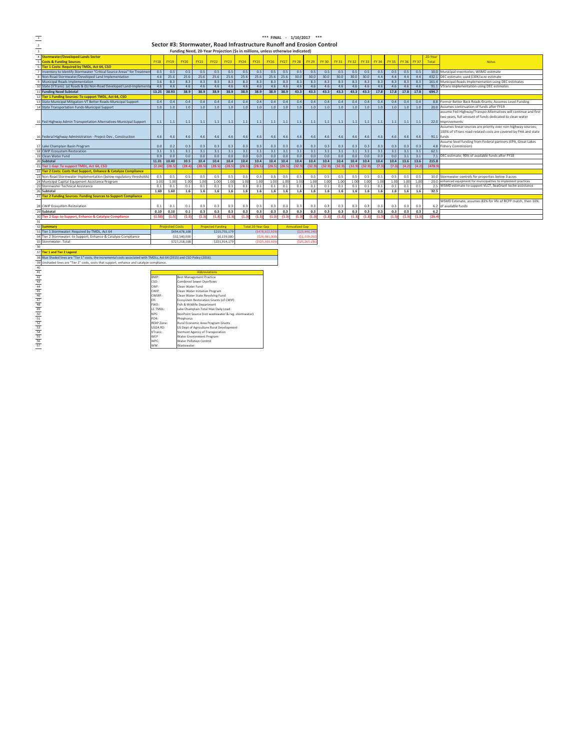|                                                                      |             |                        | Sector #3: Stormwater, Road Infrastructure Runoff and Erosion Control         |             |                          |               |             |                          |                |             |                       |               |        |        |             |        |             |              |             |       |            |                                                                   |
|----------------------------------------------------------------------|-------------|------------------------|-------------------------------------------------------------------------------|-------------|--------------------------|---------------|-------------|--------------------------|----------------|-------------|-----------------------|---------------|--------|--------|-------------|--------|-------------|--------------|-------------|-------|------------|-------------------------------------------------------------------|
|                                                                      |             |                        | Funding Need, 20-Year Projection (Ss in millions, unless otherwise indicated) |             |                          |               |             |                          |                |             |                       |               |        |        |             |        |             |              |             |       |            |                                                                   |
| <b>Stormwater/Developed Lands Sector</b>                             |             |                        |                                                                               |             |                          |               |             |                          |                |             |                       |               |        |        |             |        |             |              |             |       | 20-Year    |                                                                   |
| <b>Costs &amp; Funding Sources</b>                                   | <b>FY18</b> | <b>FY19</b>            | <b>FY20</b>                                                                   | <b>FY21</b> | <b>FY22</b>              | <b>FY23</b>   | <b>FY24</b> | <b>FY25</b>              | <b>FY26</b>    | <b>FY27</b> | <b>FY 28</b>          | FY 29         | FY 30  | FY 31  | FY 32 FY 33 |        | <b>FY34</b> | <b>FY 35</b> | FY 36 FY 37 |       | Total      | <b>Notes</b>                                                      |
| Tier 1 Costs: Required by TMDL. Act 64, CSO                          |             |                        |                                                                               |             |                          |               |             |                          |                |             |                       |               |        |        |             |        |             |              |             |       |            |                                                                   |
| Inventory to Identify Stormwater "Critical Source Areas" for Treatme | 0.5         | 0.5                    | 0.5                                                                           | 0.5         | 0.5                      | 0.5           | 0.5         | 0.5                      | 0.5            | 0.5         | 0.5                   | 0.5           | 0.5    | 0.5    | 0.5         | 0.5    | 0.5         | 0.5          | 0.5         | 0.5   |            | 10.0 Municipal inventories; WSMD estimate                         |
| Non-Road Stormwater/Developed Land Implementation                    | 4.6         | 25.6                   | 25.6                                                                          | 25.6        | 25.6                     | 25.6          | 25.6        | 25.6                     | 25.6           | 25.6        | 30.0                  | 30.0          | 30.0   | 30.0   | 30.0        | 30.0   | 4.4         | 4.4          | 4.4         | 4.4   |            | 432.1 DEC estimate: used \$30K/acre estimate                      |
| <b>Municipal Roads Implementation</b>                                | 3.6         | 8.3                    | 8.3                                                                           | 8.3         | 8.3                      | 8.3           | 8.3         | 8.3                      | 8.3            | 8.3         | 8.3                   | 8.3           | 8.3    | 8.3    | 8.3         | 8.3    | 8.3         | 8.3          | 8.3         | 8.3   |            | 161.4 Municipal Roads Implementation using DEC estimates          |
| State (VTrans): (a) Roads & (b) Non-Road Developed Land-Implement    | 4.6         | 46                     | 4.6                                                                           | 4.6         | 4.6                      | 4.6           | 4.6         | 4.6                      | 4.6            | 4.6         | 4.6                   | 4.6           | 4.6    | 4.6    | 4.6         | 4.6    | 4.6         | 4.6          | 4.6         | 4.6   | 91.1       | VTrans implementation using DEC estimates                         |
| <b>Funding Need Subtotal</b>                                         | 13.25       | 38.93                  | 38.9                                                                          | 38.9        | 38.9                     | 38.9          | 38.9        | 38.9                     | 38.9           | 38.9        | 43.3                  | 43.3          | 43.3   | 43.3   | 43.3        | 43.3   | 17.8        | 17.8         | 17.8        | 17.8  | 694.7      |                                                                   |
| Tier 1 Funding Sources: To support TMDL, Act 64, CSO                 |             |                        |                                                                               |             |                          |               |             |                          |                |             |                       |               |        |        |             |        |             |              |             |       |            |                                                                   |
| State Municipal Mitigation-VT Better Roads-Municipal Support         | 0.4         | 0.4                    | 0.4                                                                           | 0.4         | 0.4                      | 0.4           | 0.4         | 0.4                      | 0.4            | 0.4         | 0.4                   | 0.4           | 0.4    | 0.4    | 0.4         | 0.4    | 0.4         | 0.4          | 0.4         | 0.4   |            | 8.8 Former Better Back Roads Grants: Assumes Level Funding        |
| <b>State Transportation Funds-Municipal Support</b>                  | 1.0         | 1.0                    | 1.0                                                                           | 1.0         | 1.0                      | 1.0           | 1.0         | 1.0                      | 1.0            | 1.0         | 1.0                   | 1.0           | 1.0    | 1.0    | 1.0         | 1.0    | 1.0         | 1.0          | 1.0         | 1.0   |            | 20.0 Assumes continuation of funds after FY19                     |
|                                                                      |             |                        |                                                                               |             |                          |               |             |                          |                |             |                       |               |        |        |             |        |             |              |             |       |            | assume Fed Highway/Transpo Alternatives will continue and first   |
|                                                                      |             |                        |                                                                               |             |                          |               |             |                          |                |             |                       |               |        |        |             |        |             |              |             |       |            | two years, full amount of funds dedicated to clean water          |
| Fed Highway Admin Transportation Alternatives-Municipal Support      | 1.1         | 1.1                    | 1.1                                                                           | 1.1         | 1.1                      | 1.1           | 1.1         | 1.1                      | 1.1            | 1.1         | 1.1                   | 1.1           | 1.1    | 1.1    | 1.1         | 1.1    | 1.1         | 1.1          | 1.1         | 1.1   |            | 22.0 improvements                                                 |
|                                                                      |             |                        |                                                                               |             |                          |               |             |                          |                |             |                       |               |        |        |             |        |             |              |             |       |            | Assumes linear sources are priority over non-highway sources;     |
|                                                                      |             |                        |                                                                               |             |                          |               |             |                          |                |             |                       |               |        |        |             |        |             |              |             |       |            | 100% of VTrans road-related costs are covered by FHA and state    |
| Federal Highway Administration - Project Dev., Construction          | 4.6         | 4.6                    | 4.6                                                                           | 4.6         | 4.6                      | 4.6           | 4.6         | 4.6                      | 4.6            | 4.6         | 4.6                   | 4.6           | 4.6    | 4.6    | 4.6         | 4.6    | 4.6         | 4.6          | 4.6         | 4.6   | 91.1 funds |                                                                   |
|                                                                      |             |                        |                                                                               |             |                          |               |             |                          |                |             |                       |               |        |        |             |        |             |              |             |       |            | Assume level funding from Federal partners (EPA, Great Lakes      |
| Lake Champlain Basin Program                                         | 0.0         | 0.2                    | 0.3                                                                           | 0.3         | 0.3                      | 0.3           | 0.3         | 0.3                      | 0.3            | 0.3         | 0.3                   | 0.3           | 0.3    | 0.3    | 0.3         | 0.3    | 0.3         | 0.3          | 0.3         | 0.3   |            | 4.8 Fishery Commission)                                           |
| <b>CWIP Ecosystem Restoration</b>                                    | 3.1         | 3.1                    | 3.1                                                                           | 3.1         | 3.1                      | 3.1           | 3.1         | 3.1                      | 3.1            | 3.1         | 3.1                   | 3.1           | 3.1    | 3.1    | 3.1         | 3.1    | 3.1         | 3.1          | 3.1         | 3.1   | 62.1       |                                                                   |
| Clean Water Fund                                                     | 0.9         | 0.0                    | 0.0                                                                           | 0.0         | 0.0                      | 0.0           | 0.0         | 0.0                      | 0.0            | 0.0         | 0.0                   | 0.0           | 0.0    | 0.0    | 0.0         | 0.0    | 0.0         | 0.0          | 3.1         | 3.1   | 7.1        | DEC estimate: 90% of available funds after FY18                   |
| Subtotal                                                             | 11.01       | 10.40                  | 10.5                                                                          | 10.4        | 10.4                     | 10.4          | 10.4        | 10.4                     | 10.4           | 10.4        | 10.4                  | 10.4          | 10.4   | 10.4   | 10.4        | 10.4   | 10.4        | 10.4         | 13.6        | 13.6  | 215.8      |                                                                   |
| Tier 1 Gap: To support TMDL, Act 64, CSO                             | (2.24)      | (28)                   | (28.                                                                          | (28.5)      | (28.5)                   | 128.5         | (28.5)      | (28.5)                   | (28.5)         | (28.5)      | (32.9)                | (32.9)        | (32.9) | (32.9) | (32.5)      | (32.9) | (7.3)       | (7.3)        | (4.2)       |       | (478.      |                                                                   |
| Tier 2 Costs: Costs that Support, Enhance & Catalyze Compliance      |             |                        |                                                                               |             |                          |               |             |                          |                |             |                       |               |        |        |             |        |             |              |             |       |            |                                                                   |
| Non-Road Stormwater Implementation (below regulatory thresholds      | 0.5         | 0.5                    | 0.5                                                                           | 0.5         | 0.5                      | 0.5           | 0.5         | 0.5                      | 0.5            | 0.5         | 0.5                   | 0.5           | 0.5    | 0.5    | 0.5         | 0.5    | 0.5         | 0.5          | 0.5         | 0.5   |            | 10.0 Stormwater controls for properties below 3 acres             |
| Municipal Capital Equipment Assistance Program                       | 1.00        | 1.00                   | 1.00                                                                          | 1.00        | 1.00                     | 1.00          | 1.00        | 1.00                     | 1.00           | 1.00        | 1.00                  | 1.00          | 1.00   | 1.00   | 1.00        | 1.00   | 1.00        | 1.00         | 1.00        | 1.00  |            | 20.0 enhanced equipment for municipalities to implement practices |
| Stormwater Technical Assistance                                      | 0.1         | 0.1                    | 0.1                                                                           | 0.1         | 0.1                      | 0.1           | 0.1         | 0.1                      | 0.1            | 0.1         | 0.1                   | 0.1           | 0.1    | 0.1    | 0.1         | 0.1    | 0.1         | 0.1          | 0.1         | 0.1   |            | 2.5 WSMD estimate to support VLCT, SeaGrant techn assistance      |
| Subtotal                                                             | 1.60        | 1.60                   | 1.6                                                                           | 1.6         | 1.6                      | 1.6           | 1.6         | 1.6                      | 1.6            | 1.6         | 1.6                   | 1.6           | 1.6    | 1.6    | 1.6         | 1.6    | 1.6         | 1.6          | 1.6         | 1.6   | 32.5       |                                                                   |
| <b>Tier 2 Funding Sources: Funding Sources to Support Compliance</b> |             |                        |                                                                               |             |                          |               |             |                          |                |             |                       |               |        |        |             |        |             |              |             |       |            |                                                                   |
|                                                                      |             |                        |                                                                               |             |                          |               |             |                          |                |             |                       |               |        |        |             |        |             |              |             |       |            | WSMD Estimate; assumes 83% for life of RCPP match, then 10%       |
| <b>CWIP Ecosystem Restoration</b>                                    | 0.1         | 0.1                    | 0.1                                                                           | 0.3         | 0.3                      | 0.3           | 0.3         | 0.3                      | 0.3            | 0.3         | 0.3                   | 0.3           | 0.3    | 0.3    | 0.3         | 0.3    | 0.3         | 0.3          | 0.3         | 0.3   |            | 6.2 of available funds                                            |
| Subtotal                                                             | 0.10        | 0.10                   | 0.1                                                                           | 0.3         | 0.3                      | 0.3           | 0.3         | 0.3                      | 0.3            | 0.3         | 0.3                   | 0.3           | 0.3    | 0.3    | 0.3         | 0.3    | 0.3         | 0.3          | 0.3         | 0.3   | 6.2        |                                                                   |
| Tier 2 Gap: to Support, Enhance & Catalyze Compliance                | (1.50)      | (1.5)                  | (1.5)                                                                         | (1.3)       | (1.3)                    | (1.3)         | (1.3)       | (1.3)                    | (1.3)          | (1.3)       | (1.3)                 | (1.3)         | (1.3)  | (1.3)  | (1.3)       | (1.3)  | (1.3)       | (1.3)        | (1.3)       | (1.3) | (26.4)     |                                                                   |
|                                                                      |             |                        |                                                                               |             |                          |               |             |                          |                |             |                       |               |        |        |             |        |             |              |             |       |            |                                                                   |
| <b>Summary</b>                                                       |             | <b>Projected Costs</b> |                                                                               |             | <b>Projected Funding</b> |               |             | <b>Total 20-Year Gap</b> |                |             | <b>Annualized Gap</b> |               |        |        |             |        |             |              |             |       |            |                                                                   |
| Tier 1 Stormwater: Required by TMDL, Act 64                          |             |                        | \$694,678,108                                                                 |             |                          | \$215,755,179 |             |                          | (\$478,922,92  |             |                       | (\$23,946,146 |        |        |             |        |             |              |             |       |            |                                                                   |
| Tier 2 Stormwater: to Support, Enhance & Catalyze Compliance         |             |                        | \$32,540,000                                                                  |             |                          | \$6,159,000   |             |                          | (526, 381, 00) |             |                       | (51, 319, 05) |        |        |             |        |             |              |             |       |            |                                                                   |
| Stormwater: Total                                                    |             |                        | \$727,218,10                                                                  |             |                          | \$221,914,179 |             |                          | (\$505,303,92  |             |                       | (\$25,265,196 |        |        |             |        |             |              |             |       |            |                                                                   |
|                                                                      |             |                        |                                                                               |             |                          |               |             |                          |                |             |                       |               |        |        |             |        |             |              |             |       |            |                                                                   |
| <b>Tier 1 and Tier 2 Legend</b>                                      |             |                        |                                                                               |             |                          |               |             |                          |                |             |                       |               |        |        |             |        |             |              |             |       |            |                                                                   |

**\*\*\*FINALͲ1/10/2017\*\*\***

13 Blue Shaded lines are "Tier 1" costs, the incremental costs associated with TMDLs, Act 64 (2015) and CSO

Tier 2" costs, costs that s

1

|                  | <b>Abbreviations</b>                               |
|------------------|----------------------------------------------------|
| BMP:             | <b>Best Management Practice</b>                    |
| CSO:             | Combined Sewer Overflows                           |
| CWF <sup>-</sup> | Clean Water Fund                                   |
| CWIP             | Clean Water Initiative Program                     |
| CWSRF:           | Clean Water State Revolving Fund                   |
| ER:              | Ecosystem Restoration Grants (of CWIP)             |
| FWD:             | Fish & Wildlife Department                         |
| LC TMDL:         | Lake Champlain Total Max Daily Load                |
| NPS <sup>-</sup> | NonPoint Source (not wastewater & reg. stormwater) |
| PO4:             | Phophorus                                          |
| REAP Zone:       | Rural Economic Area Program Grants                 |
| USDA RD:         | US Dept of Agriculture Rural Development           |
| VTrans:          | Vermont Agency of Transporation                    |
| WEP              | Water Environment Program                          |
| WPC:             | Water Pollution Control                            |
| WW:              | Wastewater                                         |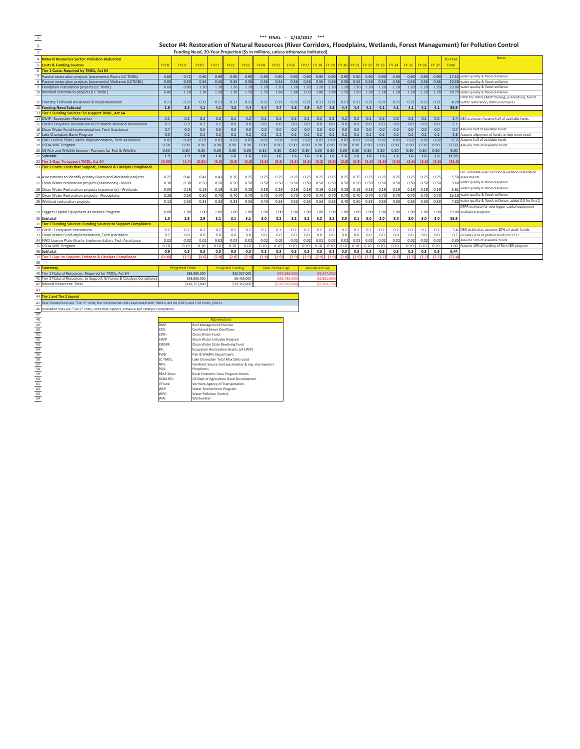| FINAL - 1/10/2017 ***                                                                                                     |
|---------------------------------------------------------------------------------------------------------------------------|
| Sector #4: Restoration of Natural Resources (River Corridors, Floodplains, Wetlands, Forest Management) for Pollution Com |

|                                           |                                                                                                                         |                           |                                                                                |                                                     |               |                          |              |                                                    |                          | *** FINAL - 1/10/2017 *** |                  |                       |               |              |              |              |              |              |              |              |              |               |                                                                                                                               |
|-------------------------------------------|-------------------------------------------------------------------------------------------------------------------------|---------------------------|--------------------------------------------------------------------------------|-----------------------------------------------------|---------------|--------------------------|--------------|----------------------------------------------------|--------------------------|---------------------------|------------------|-----------------------|---------------|--------------|--------------|--------------|--------------|--------------|--------------|--------------|--------------|---------------|-------------------------------------------------------------------------------------------------------------------------------|
|                                           |                                                                                                                         |                           |                                                                                |                                                     |               |                          |              |                                                    |                          |                           |                  |                       |               |              |              |              |              |              |              |              |              |               | Sector #4: Restoration of Natural Resources (River Corridors, Floodplains, Wetlands, Forest Management) for Pollution Control |
|                                           |                                                                                                                         |                           | Funding Need, 20-Year Projection (\$s in millions, unless otherwise indicated) |                                                     |               |                          |              |                                                    |                          |                           |                  |                       |               |              |              |              |              |              |              |              |              |               |                                                                                                                               |
|                                           | <b>Natural Resources Sector: Pollution Reduction</b>                                                                    |                           |                                                                                |                                                     |               |                          |              |                                                    |                          |                           |                  |                       |               |              |              |              |              |              |              |              |              | 20-Year       | <b>Notes</b>                                                                                                                  |
|                                           |                                                                                                                         |                           |                                                                                |                                                     |               |                          |              |                                                    |                          |                           |                  |                       |               |              |              |              |              |              |              |              |              |               |                                                                                                                               |
|                                           | <b>Costs &amp; Funding Sources</b>                                                                                      | <b>FY18</b>               | <b>FY19</b>                                                                    | <b>FY20</b>                                         | <b>FY21</b>   | <b>FY22</b>              | <b>FY23</b>  | <b>FY24</b>                                        | <b>FY25</b>              | <b>FY26</b>               | <b>FY27</b>      | <b>FY 28</b>          | <b>FY 29</b>  | <b>FY 30</b> | FY 31 FY 32  |              | <b>FY 33</b> | <b>FY 34</b> | <b>FY 35</b> | <b>FY 36</b> | <b>FY 37</b> | Total         |                                                                                                                               |
|                                           | Tier 1 Costs: Required by TMDL, Act 64                                                                                  |                           |                                                                                |                                                     |               |                          |              |                                                    |                          | 0.90                      |                  |                       |               |              |              |              |              |              |              |              |              |               |                                                                                                                               |
|                                           | Passive restoration projects (easements) Rivers (LC TMDL)                                                               | 0.60<br>0.00              | 0.72<br>0.30                                                                   | 0.90<br>0.56                                        | 0.90<br>0.56  | 0.90<br>0.56             | 0.90<br>0.56 | 0.90<br>0.56                                       | 0.90<br>0.56             | 0.56                      | 0.90<br>0.56     | 0.90<br>0.56          | 0.90<br>0.56  | 0.90<br>0.56 | 0.90<br>0.56 | 0.90<br>0.56 | 0.90<br>0.56 | 0.90<br>0.56 | 0.90<br>0.56 | 0.90<br>0.56 | 0.90<br>0.56 | 10.38         | 17.52 water quality & flood resilience<br>water quality & flood resilience                                                    |
|                                           | Passive restoration projects (easements) Wetlands (LCTMDL)<br>Floodplain restoration projects (LC TMDL)                 | 0.60                      | 0.80                                                                           | 1.20                                                | 1.20          | 1.20                     | 1.20         | 1.20                                               | 1.20                     | 1.20                      | 1.20             | 1.20                  | 1.20          | 1.20         | 1.20         | 1.20         | 1.20         | 1.20         | 1.20         | 1.20         | 1.20         | 23.00         | water quality & flood resilience                                                                                              |
|                                           | Wetland restoration projects (LC TMDL)                                                                                  | 0.49                      | 1.28                                                                           | 1.28                                                | 1.28          | 1.28                     | 1.50         | 1.50                                               | 1.88                     | 1.88                      | 2.03             | 1.88                  | 1.88          | 1.50         | 1.50         | 1.28         | 1.28         | 1.28         | 1.28         | 1.28         | 1.28         |               | 28.79 water quality & flood resilience                                                                                        |
|                                           |                                                                                                                         |                           |                                                                                |                                                     |               |                          |              |                                                    |                          |                           |                  |                       |               |              |              |              |              |              |              |              |              |               | DFPR for TMDL (AMP training, publication), forest                                                                             |
|                                           | Forestry Technical Assistance & Implementation                                                                          | 0.21                      | 0.21                                                                           | 0.21                                                | 0.2           | 0.21                     | 0.21         | $0.2^{\circ}$                                      | 0.21                     | 0.21                      | 0.21             | 0.21                  | 0.21          | 0.21         | 0.21         | 0.21         | 0.21         | 0.21         | 0.21         | 0.21         | 0.21         | 4.20          | buffer restoration, BMP incentivizes                                                                                          |
|                                           | <b>Funding Need Subtotal</b>                                                                                            | 1.9                       | 3.3                                                                            | 4.1                                                 | 4.1           | 4.2                      | 4.4          | 4.4                                                | 4.7                      | 4.8                       | 4.9              | 4.7                   | 4.8           | 4.4          | 4.4          | 4.1          | 4.1          | 4.1          | 4.1          | 4.1          | 4.1          | 83.9          |                                                                                                                               |
|                                           | Tier 1 Funding Sources: To support TMDL, Act 64                                                                         |                           |                                                                                |                                                     |               |                          |              |                                                    |                          |                           |                  |                       |               |              |              |              |              |              |              |              |              |               |                                                                                                                               |
|                                           | <b>CWIP - Ecosystem Restoration</b>                                                                                     | 0.1                       | 0.2                                                                            | 0.2                                                 | 0.2           | 0.2                      | 0.2          | 0.2                                                | 0.2                      | 0.2                       | 0.2              | 0.2                   | 0.2           | 0.2          | 0.2          | 0.2          | 0.2          | 0.2          | 0.2          | 0.2          | 0.2          | 3.4           | DEC estimate; Assume half of available funds                                                                                  |
|                                           | CWIP-Ecosystem Restoration RCPP Match-Wetland Restoration                                                               | 0.3                       | 0.3                                                                            | 0.2                                                 | $0.2\,$       | 0.0                      | 0.0          | 0.0                                                | 0.0                      | 0.0                       | 0.0              | 0.0                   | 0.0           | 0.0          | 0.0          | 0.0          | 0.0          | 0.0          | 0.0          | 0.0          | 0.0          | 1.1           |                                                                                                                               |
|                                           | Clean Water Fund-Implementation, Tech Assistance                                                                        | 0.7                       | 0.0                                                                            | 0.0                                                 | 0.0           | 0.0                      | 0.0          | 0.0                                                | 0.0                      | 0.0                       | 0.0              | 0.0                   | 0.0           | 0.0          | 0.0          | 0.0          | 0.0          | 0.0          | 0.0          | 0.0          | 0.0          | 0.7           | Assume half of available funds                                                                                                |
|                                           | Lake Champlain Basin Program                                                                                            | 0.0                       | 0.2                                                                            | 0.2                                                 | 0.2           | 0.2                      | 0.2          | 0.2                                                | 0.2                      | 0.2                       | 0.2              | 0.2                   | 0.2           | 0.2          | 0.2          | 0.2          | 0.2          | 0.2          | 0.2          | 0.2          | 0.2          |               | 3.8 Assume alignment of funds to help meet need                                                                               |
|                                           | FWD License Plate Grants-Implementation, Tech Assistance                                                                | 0.02                      | 0.02                                                                           | 0.02                                                | 0.02          | 0.02                     | 0.02         | 0.02                                               | 0.02                     | 0.02                      | 0.02             | 0.02                  | 0.02          | 0.02         | 0.02         | 0.02         | 0.02         | 0.02         | 0.02         | 0.02         | 0.02         |               | 0.35 Assume half of available funds                                                                                           |
|                                           | <b>USDA WRE Program</b><br>US Fish and Wildlife Service - Partners for Fish & Wildlife                                  | 0.50<br>0.30              | 0.90<br>0.30                                                                   | 0.90<br>0.30                                        | 0.90          | 0.90<br>0.30             | 0.90<br>0.30 | 0.90<br>0.30                                       | 0.90<br>0.30             | 0.90<br>0.30              | 0.90             | 0.90                  | 0.90          | 0.90<br>0.30 | 0.90<br>0.30 | 0.90<br>0.30 | 0.90         | 0.90         | 0.90<br>0.30 | 0.90<br>0.30 | 0.90         | 17.60<br>6.00 | ssume 90% of available funds                                                                                                  |
|                                           |                                                                                                                         |                           |                                                                                |                                                     | 0.30          |                          |              |                                                    |                          |                           | 0.30             | 0.30                  | 0.30          |              | 1.6          |              | 0.30         | 0.30         |              |              | 0.30         | 32.93         |                                                                                                                               |
|                                           | <b>Subtotal</b><br>Tier 1 Gap: To support TMDL, Act 64                                                                  | 1.9<br>(0.00)             | 1.9<br>(1.4)                                                                   | 1.8<br>(2.31)                                       | 1.8<br>(2.3)  | 1.6<br>(2.6)             | 1.6<br>(2.8) | 1.6<br>(2.8)                                       | 1.6<br>(3.2)             | 1.6<br>(3.2)              | $1.6\,$<br>(3.3) | 1.6<br>(3.2)          | 1.6<br>(3.2)  | 1.6<br>(2.8) | (2.8)        | 1.6<br>(2.6) | 1.6<br>(2.6) | 1.6<br>(2.6) | 1.6<br>(2.6) | 1.6<br>(2.6) | 1.6<br>(2.6) | (51.0)        |                                                                                                                               |
|                                           | Fier 2 Costs: Costs that Support, Enhance & Catalyze Compliance                                                         |                           |                                                                                |                                                     |               |                          |              |                                                    |                          |                           |                  |                       |               |              |              |              |              |              |              |              |              |               |                                                                                                                               |
|                                           |                                                                                                                         |                           |                                                                                |                                                     |               |                          |              |                                                    |                          |                           |                  |                       |               |              |              |              |              |              |              |              |              |               | DEC estimate-river corridor & wetland restoration                                                                             |
|                                           | Assessments to identify priority Rivers and Wetlands projects                                                           | 0.25                      | 0.41                                                                           | 0.41                                                | 0.41          | 0.36                     | 0.25         | 0.25                                               | 0.25                     | 0.25                      | 0.25             | 0.25                  | 0.25          | 0.25         | 0.25         | 0.25         | 0.25         | 0.25         | 0.25         | 0.25         | 0.25         | 5.58          | assessments                                                                                                                   |
|                                           | Clean Water restoration projects (easements) - Rivers                                                                   | 0.30                      | 0.38                                                                           | 0.50                                                | 0.50          | 0.50                     | 0.50         | 0.50                                               | 0.50                     | 0.50                      | 0.50             | 0.50                  | 0.50          | 0.50         | 0.50         | 0.50         | 0.50         | 0.50         | 0.50         | 0.50         | 0.50         | 9.68          | water quality & flood resilience                                                                                              |
|                                           | Clean Water Restoration projects (easements) - Wetlands                                                                 | 0.00                      | 0.19                                                                           | 0.19                                                | 0.19          | 0.15                     | 0.19         | 0.19                                               | 0.19                     | 0.19                      | 0.19             | 0.19                  | 0.19          | 0.19         | 0.19         | 0.19         | 0.19         | 0.19         | 0.19         | 0.19         | 0.19         | 3.61          | water quality & flood resilience                                                                                              |
|                                           |                                                                                                                         | 0.28                      | 0.50                                                                           | 0.50                                                |               |                          | 0.70         | 0.70                                               | 0.70                     | 0.70                      | 0.70             | 0.70                  | 0.70          | 0.70         | 0.70         | 0.70         | 0.70         | 0.70         | 0.70         | 0.70         | 0.70         |               | 13.18 water quality & flood resilience                                                                                        |
|                                           | Clean Water Restoration projects - Floodplains                                                                          | 0.12                      | 0.33                                                                           | 0.33                                                | 0.70<br>0.33  | 0.70<br>0.33             | 0.50         | 0.40                                               | 0.5                      | 0.53                      | 0.53             | 0.53                  | 0.53          | 0.40         | 0.50         | 0.33         | 0.33         | 0.33         | 0.33         |              | 0.33         | 7.82          | water quality & flood resilience; added 0.3 fro first 2                                                                       |
|                                           | Wetland restoration projects                                                                                            |                           |                                                                                |                                                     |               |                          |              |                                                    |                          |                           |                  |                       |               |              |              |              |              |              |              | 0.33         |              |               | DFPR estimate for new logger capital equipment                                                                                |
| 29                                        | Loggers Capital Equipment Assistance Program                                                                            | 0.00                      | 1.00                                                                           | 1.00                                                | 1.00          | 1.00                     | 1.00         | 1.00                                               | 1.00                     | 1.00                      | 1.00             | 1.00                  | 1.00          | 1.00         | 1.00         | 1.00         | 1.00         | 1.00         | 1.00         | 1.00         | 1.00         |               | 19.00 assistance program                                                                                                      |
|                                           | Subtotal                                                                                                                | 1.0                       | 2.8                                                                            | 2.9                                                 | 3.1           | 3.1                      | 3.1          | 3.0                                                | 3.2                      | 3.2                       | 3.2              | 3.2                   | 3.2           | 3.0          | 3.1          | 3.0          | 3.0          | 3.0          | 3.0          | 3.0          | 3.0          | 58.9          |                                                                                                                               |
|                                           | <b>Tier 2 Funding Sources: Funding Sources to Support Compliance</b>                                                    |                           |                                                                                |                                                     |               |                          |              |                                                    |                          |                           |                  |                       |               |              |              |              |              |              |              |              |              |               |                                                                                                                               |
|                                           | CWIP - Ecosystem Restoration                                                                                            | 0.2                       | 0.2                                                                            | 0.2                                                 | 0.2           | 0.2                      | 0.2          | 0.2                                                | 0.2                      | 0.2                       | 0.2              | 0.2                   | 0.2           | 0.2          | 0.2          | 0.2          | 0.2          | 0.2          | 0.2          | 0.2          | 0.2          | 3.4           | DEC estimate; assume 10% of avail. funds                                                                                      |
|                                           | Clean Water Fund-Implementation, Tech Assistance                                                                        | 0.7                       | 0.0                                                                            | 0.0                                                 | 0.0           | 0.0                      | 0.0          | 0.0                                                | 0.0                      | 0.0                       | 0.0              | 0.0                   | 0.0           | 0.0          | $0.0\,$      | 0.0          | 0.0          | 0.0          | 0.0          | 0.0          | 0.0          | 0.7           | ncludes 20% of partner funds for FY17                                                                                         |
|                                           | FWD License Plate Grants-Implementation, Tech Assistance                                                                | 0.02                      | 0.02                                                                           | 0.02                                                | 0.02          | 0.02                     | 0.02         | 0.02                                               | 0.02                     | 0.02                      | 0.02             | 0.02                  | 0.02          | 0.02         | 0.02         | 0.02         | 0.02         | 0.02         | 0.02         | 0.02         | 0.02         | 0.35          | Assume 50% of available funds                                                                                                 |
|                                           | <b>USDA WRE Program</b>                                                                                                 | 0.10                      | 0.10                                                                           | 0.10                                                | 0.10          | 0.10                     | 0.10         | 0.10                                               | 0.10                     | 0.10                      | 0.10             | 0.10                  | 0.10          | 0.10         | 0.10         | 0.10         | 0.10         | 0.10         | 0.10         | 0.10         | 0.10         | 2.00          | Assume 10% of funding of Farm Bill program                                                                                    |
|                                           | Subtotal                                                                                                                | 0.9                       | 0.3                                                                            | 0.3                                                 | 0.3           | 0.3                      | 0.3          | 0.3                                                | 0.3                      | 0.3                       | 0.3              | 0.3                   | 0.3           | 0.3          | 0.3          | 0.3          | 0.3          | 0.3          | 0.3          | 0.3          | 0.3          | 6.44          |                                                                                                                               |
|                                           | Tier 2 Gap: to Support, Enhance & Catalyze Compliance                                                                   | (0.0)                     | (2.5)                                                                          | (2.                                                 | (2.8)         | (2.8)                    | (2.5)        | (2.8)                                              | (2.5)                    | (2.5)                     | (2.              |                       | (2.)          | (2.8)        | (2.9)        | (2.7)        | (2.7)        | (2.7)        | (2.7)        | (2.7)        | (2.7)        | (52.4)        |                                                                                                                               |
| 38                                        |                                                                                                                         |                           |                                                                                |                                                     |               |                          |              |                                                    |                          |                           |                  |                       |               |              |              |              |              |              |              |              |              |               |                                                                                                                               |
|                                           | <b>Summan</b>                                                                                                           |                           | <b>Projected Costs</b>                                                         |                                                     |               | <b>Projected Funding</b> |              |                                                    | <b>Total 20-Year Gap</b> |                           |                  | <b>Annualized Gap</b> |               |              |              |              |              |              |              |              |              |               |                                                                                                                               |
|                                           | Tier 1 Natural Resources: Required for TMDL, Act 64                                                                     |                           |                                                                                | \$83,885,000                                        |               |                          | \$32,927,000 |                                                    |                          | (\$50,958.00              |                  |                       | (S2, 547, 90) |              |              |              |              |              |              |              |              |               |                                                                                                                               |
|                                           | Tier 2 Natural Resources: to Support, Enhance & Catalyze Complianc                                                      |                           |                                                                                | \$58,868,000                                        |               |                          | \$6,435,000  |                                                    |                          | (\$52,433,00              |                  |                       | ( \$2,621,65  |              |              |              |              |              |              |              |              |               |                                                                                                                               |
|                                           | Natural Resources: Total                                                                                                |                           |                                                                                | \$142,753,000                                       |               |                          | \$39,362,000 |                                                    |                          | (\$103,391,00             |                  | (55, 169, 55)         |               |              |              |              |              |              |              |              |              |               |                                                                                                                               |
| 43                                        |                                                                                                                         |                           |                                                                                |                                                     |               |                          |              |                                                    |                          |                           |                  |                       |               |              |              |              |              |              |              |              |              |               |                                                                                                                               |
| 44                                        | <b>Tier 1 and Tier 2 Legend</b>                                                                                         |                           |                                                                                |                                                     |               |                          |              |                                                    |                          |                           |                  |                       |               |              |              |              |              |              |              |              |              |               |                                                                                                                               |
| 4                                         | Blue Shaded lines are "Tier 1" costs, the incremental costs associated with TMDLs, Act 64 (2015) and CSO Policy (2016). |                           |                                                                                |                                                     |               |                          |              |                                                    |                          |                           |                  |                       |               |              |              |              |              |              |              |              |              |               |                                                                                                                               |
|                                           | Unshaded lines are "Tier 2" costs, costs that support, enhance and catalyze compliance                                  |                           |                                                                                |                                                     |               |                          |              |                                                    |                          |                           |                  |                       |               |              |              |              |              |              |              |              |              |               |                                                                                                                               |
| 47                                        |                                                                                                                         |                           |                                                                                |                                                     |               |                          |              |                                                    |                          |                           |                  |                       |               |              |              |              |              |              |              |              |              |               |                                                                                                                               |
|                                           |                                                                                                                         |                           |                                                                                |                                                     | Abbreviations |                          |              |                                                    |                          |                           |                  |                       |               |              |              |              |              |              |              |              |              |               |                                                                                                                               |
|                                           |                                                                                                                         | BMP:                      |                                                                                | <b>Best Management Practice</b>                     |               |                          |              |                                                    |                          |                           |                  |                       |               |              |              |              |              |              |              |              |              |               |                                                                                                                               |
|                                           |                                                                                                                         | CSO:<br>CWF:              |                                                                                | <b>Combined Sewer Overflows</b><br>Clean Water Fund |               |                          |              |                                                    |                          |                           |                  |                       |               |              |              |              |              |              |              |              |              |               |                                                                                                                               |
|                                           |                                                                                                                         | CWIP                      |                                                                                | Clean Water Initiative Program                      |               |                          |              |                                                    |                          |                           |                  |                       |               |              |              |              |              |              |              |              |              |               |                                                                                                                               |
|                                           |                                                                                                                         | CWSRF:                    |                                                                                | Clean Water State Revolving Fund                    |               |                          |              |                                                    |                          |                           |                  |                       |               |              |              |              |              |              |              |              |              |               |                                                                                                                               |
| 48 49 50 51 52 53 54 55 56 57 58 59 60 61 |                                                                                                                         | FR:                       |                                                                                | Ecosystem Restoration Grants (of CWIP)              |               |                          |              |                                                    |                          |                           |                  |                       |               |              |              |              |              |              |              |              |              |               |                                                                                                                               |
|                                           |                                                                                                                         | FWD:                      |                                                                                | Fish & Wildlife Department                          |               |                          |              |                                                    |                          |                           |                  |                       |               |              |              |              |              |              |              |              |              |               |                                                                                                                               |
|                                           |                                                                                                                         | LC TMDL:                  |                                                                                | Lake Champlain Total Max Daily Load                 |               |                          |              |                                                    |                          |                           |                  |                       |               |              |              |              |              |              |              |              |              |               |                                                                                                                               |
|                                           |                                                                                                                         | NPS:                      |                                                                                |                                                     |               |                          |              | NonPoint Source (not wastewater & reg. stormwater) |                          |                           |                  |                       |               |              |              |              |              |              |              |              |              |               |                                                                                                                               |
|                                           |                                                                                                                         | PO4:<br><b>REAP Zone:</b> |                                                                                | Phophorus<br>Rural Economic Area Program Grants     |               |                          |              |                                                    |                          |                           |                  |                       |               |              |              |              |              |              |              |              |              |               |                                                                                                                               |
|                                           |                                                                                                                         | USDA RD:                  |                                                                                | US Dept of Agriculture Rural Development            |               |                          |              |                                                    |                          |                           |                  |                       |               |              |              |              |              |              |              |              |              |               |                                                                                                                               |
|                                           |                                                                                                                         | VTrans:                   |                                                                                | Vermont Agency of Transporation                     |               |                          |              |                                                    |                          |                           |                  |                       |               |              |              |              |              |              |              |              |              |               |                                                                                                                               |
| 62                                        |                                                                                                                         | WEP                       |                                                                                | Water Environment Program                           |               |                          |              |                                                    |                          |                           |                  |                       |               |              |              |              |              |              |              |              |              |               |                                                                                                                               |
| 63                                        |                                                                                                                         | WPC:                      |                                                                                | <b>Water Pollution Control</b>                      |               |                          |              |                                                    |                          |                           |                  |                       |               |              |              |              |              |              |              |              |              |               |                                                                                                                               |
| 64                                        |                                                                                                                         | ww:                       |                                                                                | Wastewater                                          |               |                          |              |                                                    |                          |                           |                  |                       |               |              |              |              |              |              |              |              |              |               |                                                                                                                               |

| 1 Natural Resources: Required for TMDL. Act 64                 | \$83,885,000  | \$32,927,000 | (\$50,958,000) | (\$2.547.900) |
|----------------------------------------------------------------|---------------|--------------|----------------|---------------|
| 2 Natural Resources: to Support, Enhance & Catalyze Compliance | \$58,868,000  | \$6,435,000  | (\$52,433,000) | (\$2,621,650) |
| ural Resources: Total                                          | \$142,753,000 | \$39,362,000 | (\$103,391.0c  |               |
|                                                                |               |              |                |               |

|                   | <b>Abbreviations</b>                               |
|-------------------|----------------------------------------------------|
| RMP:              | <b>Best Management Practice</b>                    |
| CSO:              | Combined Sewer Overflows                           |
| CWF:              | Clean Water Fund                                   |
| <b>CWIP</b>       | Clean Water Initiative Program                     |
| CWSRF:            | Clean Water State Revolving Fund                   |
| FR:               | Ecosystem Restoration Grants (of CWIP)             |
| FWD:              | Fish & Wildlife Department                         |
| <b>ICTMDL:</b>    | Lake Champlain Total Max Daily Load                |
| NPS:              | NonPoint Source (not wastewater & reg. stormwater) |
| PO4:              | Phophorus                                          |
| <b>REAP Zone:</b> | Rural Economic Area Program Grants                 |
| <b>USDA RD:</b>   | US Dept of Agriculture Rural Development           |
| VTrans:           | Vermont Agency of Transporation                    |
| WFP               | Water Environment Program                          |
| WPC:              | <b>Water Pollution Control</b>                     |
| WW:               | Wastewater                                         |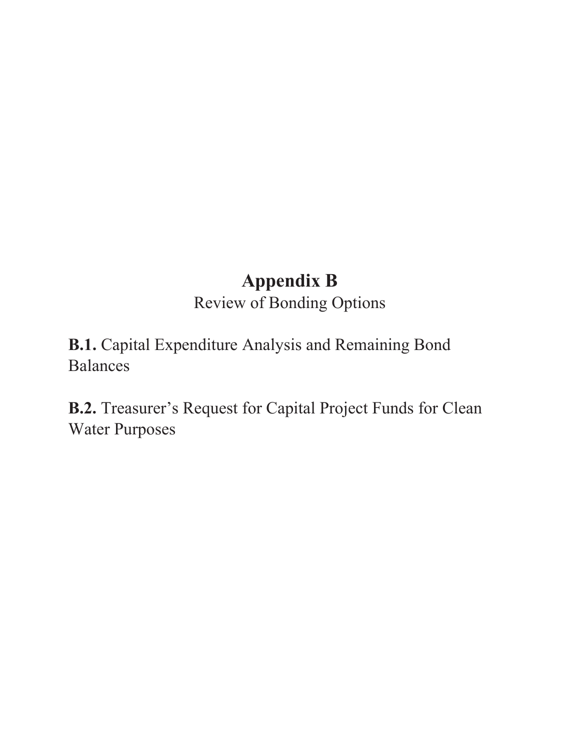# **Appendix B**

Review of Bonding Options

**B.1.** Capital Expenditure Analysis and Remaining Bond Balances

**B.2.** Treasurer's Request for Capital Project Funds for Clean Water Purposes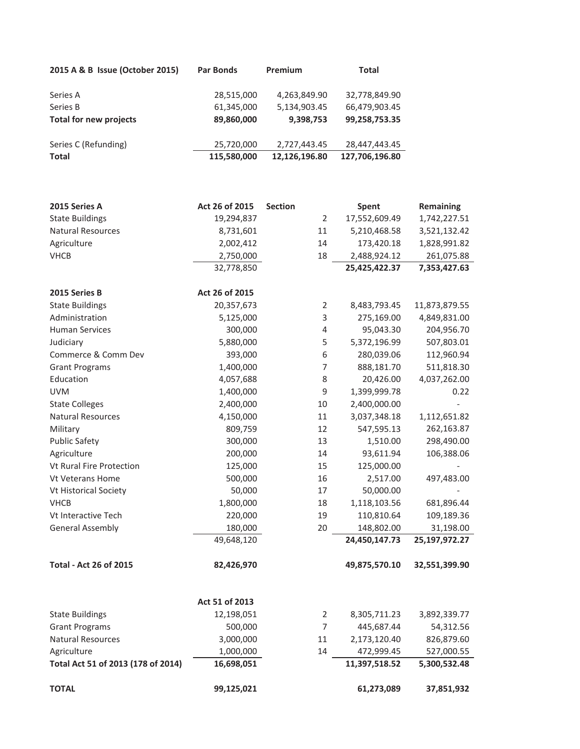| 2015 A & B Issue (October 2015) | <b>Par Bonds</b> | <b>Premium</b> | <b>Total</b>   |
|---------------------------------|------------------|----------------|----------------|
| Series A                        | 28,515,000       | 4,263,849.90   | 32,778,849.90  |
| Series B                        | 61,345,000       | 5,134,903.45   | 66,479,903.45  |
| Total for new projects          | 89,860,000       | 9,398,753      | 99,258,753.35  |
| Series C (Refunding)            | 25,720,000       | 2,727,443.45   | 28,447,443.45  |
| <b>Total</b>                    | 115,580,000      | 12,126,196.80  | 127,706,196.80 |

| 2015 Series A                      | Act 26 of 2015 | <b>Section</b> |                | Spent         | <b>Remaining</b> |
|------------------------------------|----------------|----------------|----------------|---------------|------------------|
| <b>State Buildings</b>             | 19,294,837     |                | $\overline{2}$ | 17,552,609.49 | 1,742,227.51     |
| <b>Natural Resources</b>           | 8,731,601      |                | 11             | 5,210,468.58  | 3,521,132.42     |
| Agriculture                        | 2,002,412      |                | 14             | 173,420.18    | 1,828,991.82     |
| <b>VHCB</b>                        | 2,750,000      |                | 18             | 2,488,924.12  | 261,075.88       |
|                                    | 32,778,850     |                |                | 25,425,422.37 | 7,353,427.63     |
| 2015 Series B                      | Act 26 of 2015 |                |                |               |                  |
| <b>State Buildings</b>             | 20,357,673     |                | $\overline{2}$ | 8,483,793.45  | 11,873,879.55    |
| Administration                     | 5,125,000      |                | 3              | 275,169.00    | 4,849,831.00     |
| <b>Human Services</b>              | 300,000        |                | 4              | 95,043.30     | 204,956.70       |
| Judiciary                          | 5,880,000      |                | 5              | 5,372,196.99  | 507,803.01       |
| Commerce & Comm Dev                | 393,000        |                | 6              | 280,039.06    | 112,960.94       |
| <b>Grant Programs</b>              | 1,400,000      |                | $\overline{7}$ | 888,181.70    | 511,818.30       |
| Education                          | 4,057,688      |                | $\,8\,$        | 20,426.00     | 4,037,262.00     |
| <b>UVM</b>                         | 1,400,000      |                | 9              | 1,399,999.78  | 0.22             |
| <b>State Colleges</b>              | 2,400,000      |                | 10             | 2,400,000.00  | $\frac{1}{2}$    |
| <b>Natural Resources</b>           | 4,150,000      |                | 11             | 3,037,348.18  | 1,112,651.82     |
| Military                           | 809,759        |                | 12             | 547,595.13    | 262,163.87       |
| <b>Public Safety</b>               | 300,000        |                | 13             | 1,510.00      | 298,490.00       |
| Agriculture                        | 200,000        |                | 14             | 93,611.94     | 106,388.06       |
| Vt Rural Fire Protection           | 125,000        |                | 15             | 125,000.00    |                  |
| <b>Vt Veterans Home</b>            | 500,000        |                | 16             | 2,517.00      | 497,483.00       |
| Vt Historical Society              | 50,000         |                | 17             | 50,000.00     |                  |
| <b>VHCB</b>                        | 1,800,000      |                | 18             | 1,118,103.56  | 681,896.44       |
| Vt Interactive Tech                | 220,000        |                | 19             | 110,810.64    | 109,189.36       |
| <b>General Assembly</b>            | 180,000        |                | 20             | 148,802.00    | 31,198.00        |
|                                    | 49,648,120     |                |                | 24,450,147.73 | 25,197,972.27    |
| <b>Total - Act 26 of 2015</b>      | 82,426,970     |                |                | 49,875,570.10 | 32,551,399.90    |
|                                    | Act 51 of 2013 |                |                |               |                  |
| <b>State Buildings</b>             | 12,198,051     |                | $\overline{2}$ | 8,305,711.23  | 3,892,339.77     |
| <b>Grant Programs</b>              | 500,000        |                | $\overline{7}$ | 445,687.44    | 54,312.56        |
| Natural Resources                  | 3,000,000      |                | 11             | 2,173,120.40  | 826,879.60       |
| Agriculture                        | 1,000,000      |                | 14             | 472,999.45    | 527,000.55       |
| Total Act 51 of 2013 (178 of 2014) | 16,698,051     |                |                | 11,397,518.52 | 5,300,532.48     |
| <b>TOTAL</b>                       | 99,125,021     |                |                | 61,273,089    | 37,851,932       |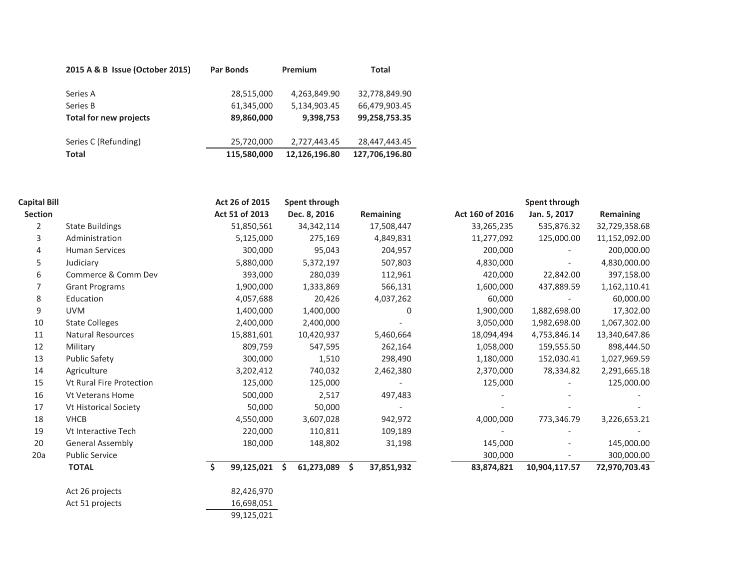| 2015 A & B Issue (October 2015) | <b>Par Bonds</b> | Premium       | <b>Total</b>   |
|---------------------------------|------------------|---------------|----------------|
| Series A                        | 28,515,000       | 4,263,849.90  | 32,778,849.90  |
| Series B                        | 61,345,000       | 5,134,903.45  | 66,479,903.45  |
| Total for new projects          | 89,860,000       | 9,398,753     | 99,258,753.35  |
|                                 |                  |               |                |
| Series C (Refunding)            | 25,720,000       | 2,727,443.45  | 28,447,443.45  |
| <b>Total</b>                    | 115,580,000      | 12,126,196.80 | 127,706,196.80 |

| <b>Capital Bill</b> |                                 | Act 26 of 2015   | Spent through    |                  |                 | Spent through |               |
|---------------------|---------------------------------|------------------|------------------|------------------|-----------------|---------------|---------------|
| Section             |                                 | Act 51 of 2013   | Dec. 8, 2016     | Remaining        | Act 160 of 2016 | Jan. 5, 2017  | Remaining     |
| $\overline{2}$      | <b>State Buildings</b>          | 51,850,561       | 34, 342, 114     | 17,508,447       | 33,265,235      | 535,876.32    | 32,729,358.68 |
| 3                   | Administration                  | 5,125,000        | 275,169          | 4,849,831        | 11,277,092      | 125,000.00    | 11,152,092.00 |
| 4                   | <b>Human Services</b>           | 300,000          | 95,043           | 204,957          | 200,000         |               | 200,000.00    |
| 5                   | Judiciary                       | 5,880,000        | 5,372,197        | 507,803          | 4,830,000       |               | 4,830,000.00  |
| 6                   | Commerce & Comm Dev             | 393,000          | 280,039          | 112,961          | 420,000         | 22,842.00     | 397,158.00    |
|                     | <b>Grant Programs</b>           | 1,900,000        | 1,333,869        | 566,131          | 1,600,000       | 437,889.59    | 1,162,110.41  |
| 8                   | Education                       | 4,057,688        | 20,426           | 4,037,262        | 60,000          |               | 60,000.00     |
| 9                   | <b>UVM</b>                      | 1,400,000        | 1,400,000        | 0                | 1,900,000       | 1,882,698.00  | 17,302.00     |
| 10                  | <b>State Colleges</b>           | 2,400,000        | 2,400,000        |                  | 3,050,000       | 1,982,698.00  | 1,067,302.00  |
| 11                  | Natural Resources               | 15,881,601       | 10,420,937       | 5,460,664        | 18,094,494      | 4,753,846.14  | 13,340,647.86 |
| 12                  | Military                        | 809,759          | 547,595          | 262,164          | 1,058,000       | 159,555.50    | 898,444.50    |
| 13                  | <b>Public Safety</b>            | 300,000          | 1,510            | 298,490          | 1,180,000       | 152,030.41    | 1,027,969.59  |
| 14                  | Agriculture                     | 3,202,412        | 740,032          | 2,462,380        | 2,370,000       | 78,334.82     | 2,291,665.18  |
| 15                  | <b>Vt Rural Fire Protection</b> | 125,000          | 125,000          |                  | 125,000         |               | 125,000.00    |
| 16                  | <b>Vt Veterans Home</b>         | 500,000          | 2,517            | 497,483          |                 |               |               |
| 17                  | <b>Vt Historical Society</b>    | 50,000           | 50,000           |                  |                 |               |               |
| 18                  | <b>VHCB</b>                     | 4,550,000        | 3,607,028        | 942,972          | 4,000,000       | 773,346.79    | 3,226,653.21  |
| 19                  | Vt Interactive Tech             | 220,000          | 110,811          | 109,189          |                 |               |               |
| 20                  | <b>General Assembly</b>         | 180,000          | 148,802          | 31,198           | 145,000         |               | 145,000.00    |
| 20a                 | <b>Public Service</b>           |                  |                  |                  | 300,000         |               | 300,000.00    |
|                     | <b>TOTAL</b>                    | Ś.<br>99,125,021 | 61,273,089<br>Ŝ. | \$<br>37,851,932 | 83,874,821      | 10,904,117.57 | 72,970,703.43 |
|                     | Act 26 projects                 | 82,426,970       |                  |                  |                 |               |               |
|                     |                                 | 1000000          |                  |                  |                 |               |               |

Act 51 projects 16,698,051

99,125,021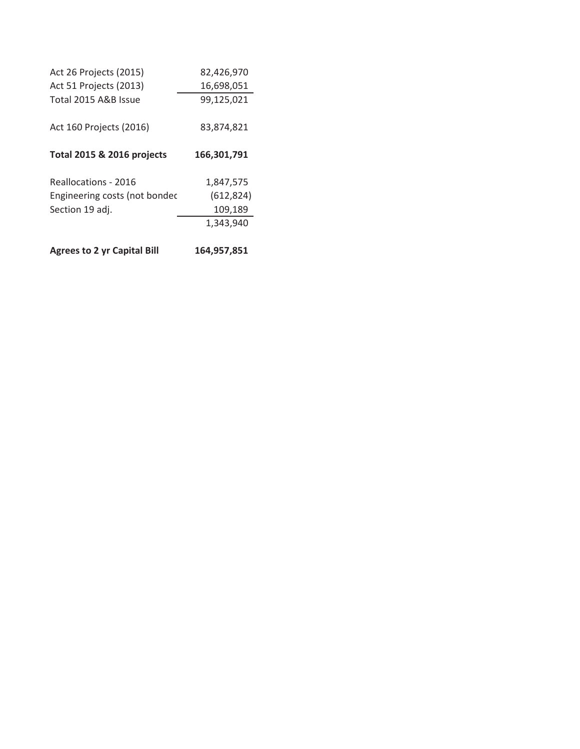| Act 26 Projects (2015)             | 82,426,970  |
|------------------------------------|-------------|
| Act 51 Projects (2013)             | 16,698,051  |
| Total 2015 A&B Issue               | 99,125,021  |
| Act 160 Projects (2016)            | 83.874.821  |
| Total 2015 & 2016 projects         | 166,301,791 |
| Reallocations - 2016               | 1,847,575   |
| Engineering costs (not bondec      | (612, 824)  |
| Section 19 adj.                    | 109,189     |
|                                    | 1,343,940   |
| <b>Agrees to 2 yr Capital Bill</b> | 164.957.851 |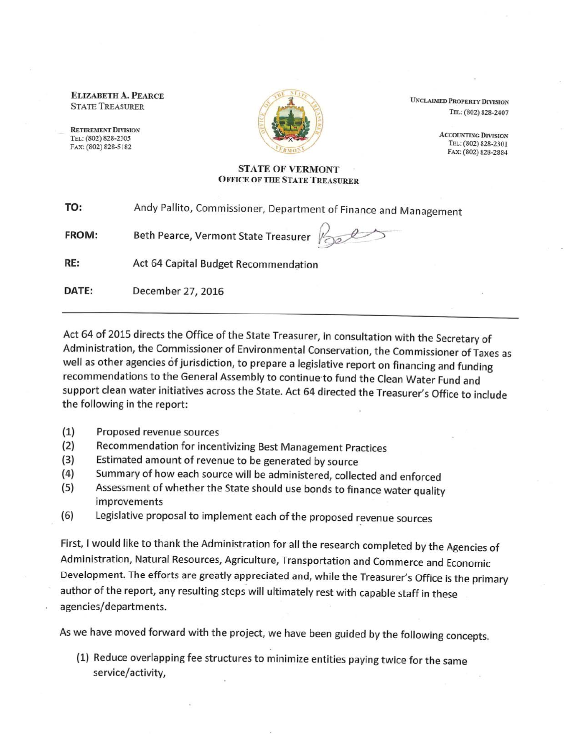**ELIZABETH A. PEARCE STATE TREASURER** 

**RETIREMENT DIVISION** TEL: (802) 828-2305 FAX: (802) 828-5182



**UNCLAIMED PROPERTY DIVISION** TEL: (802) 828-2407

> **ACCOUNTING DIVISION** TEL: (802) 828-2301 FAX: (802) 828-2884

#### **STATE OF VERMONT OFFICE OF THE STATE TREASURER**

| TO: | Andy Pallito, Commissioner, Department of Finance and Management |
|-----|------------------------------------------------------------------|
|-----|------------------------------------------------------------------|

Beth Pearce, Vermont State Treasurer **FROM:** 

RE: Act 64 Capital Budget Recommendation

DATE: December 27, 2016

Act 64 of 2015 directs the Office of the State Treasurer, in consultation with the Secretary of Administration, the Commissioner of Environmental Conservation, the Commissioner of Taxes as well as other agencies of jurisdiction, to prepare a legislative report on financing and funding recommendations to the General Assembly to continue to fund the Clean Water Fund and support clean water initiatives across the State. Act 64 directed the Treasurer's Office to include the following in the report:

- $(1)$ Proposed revenue sources
- Recommendation for incentivizing Best Management Practices  $(2)$
- Estimated amount of revenue to be generated by source  $(3)$
- Summary of how each source will be administered, collected and enforced  $(4)$
- Assessment of whether the State should use bonds to finance water quality  $(5)$ improvements
- Legislative proposal to implement each of the proposed revenue sources  $(6)$

First, I would like to thank the Administration for all the research completed by the Agencies of Administration, Natural Resources, Agriculture, Transportation and Commerce and Economic Development. The efforts are greatly appreciated and, while the Treasurer's Office is the primary author of the report, any resulting steps will ultimately rest with capable staff in these agencies/departments.

As we have moved forward with the project, we have been guided by the following concepts.

(1) Reduce overlapping fee structures to minimize entities paying twice for the same service/activity,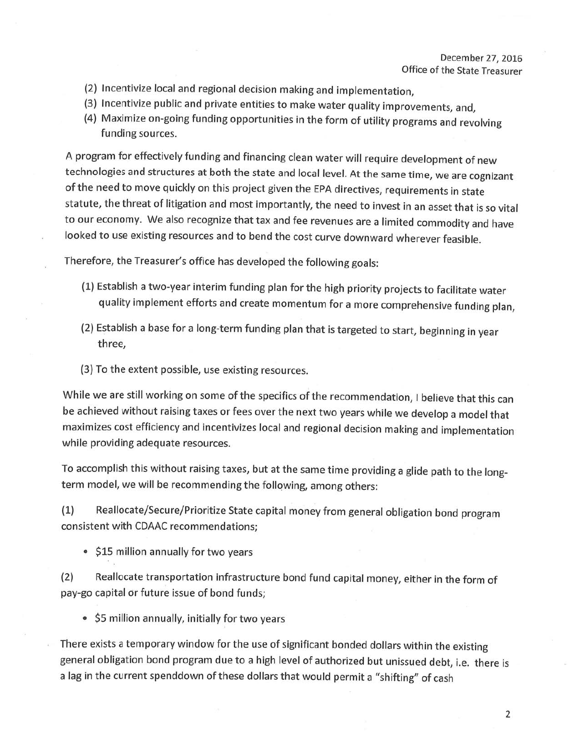#### December 27, 2016 Office of the State Treasurer

- (2) Incentivize local and regional decision making and implementation.
- (3) Incentivize public and private entities to make water quality improvements, and,
- (4) Maximize on-going funding opportunities in the form of utility programs and revolving funding sources.

A program for effectively funding and financing clean water will require development of new technologies and structures at both the state and local level. At the same time, we are cognizant of the need to move quickly on this project given the EPA directives, requirements in state statute, the threat of litigation and most importantly, the need to invest in an asset that is so vital to our economy. We also recognize that tax and fee revenues are a limited commodity and have looked to use existing resources and to bend the cost curve downward wherever feasible.

Therefore, the Treasurer's office has developed the following goals:

- (1) Establish a two-year interim funding plan for the high priority projects to facilitate water quality implement efforts and create momentum for a more comprehensive funding plan,
- (2) Establish a base for a long-term funding plan that is targeted to start, beginning in year three,
- (3) To the extent possible, use existing resources.

While we are still working on some of the specifics of the recommendation, I believe that this can be achieved without raising taxes or fees over the next two years while we develop a model that maximizes cost efficiency and incentivizes local and regional decision making and implementation while providing adequate resources.

To accomplish this without raising taxes, but at the same time providing a glide path to the longterm model, we will be recommending the following, among others:

Reallocate/Secure/Prioritize State capital money from general obligation bond program  $(1)$ consistent with CDAAC recommendations;

• \$15 million annually for two years

Reallocate transportation infrastructure bond fund capital money, either in the form of  $(2)$ pay-go capital or future issue of bond funds;

• \$5 million annually, initially for two years

There exists a temporary window for the use of significant bonded dollars within the existing general obligation bond program due to a high level of authorized but unissued debt, i.e. there is a lag in the current spenddown of these dollars that would permit a "shifting" of cash

2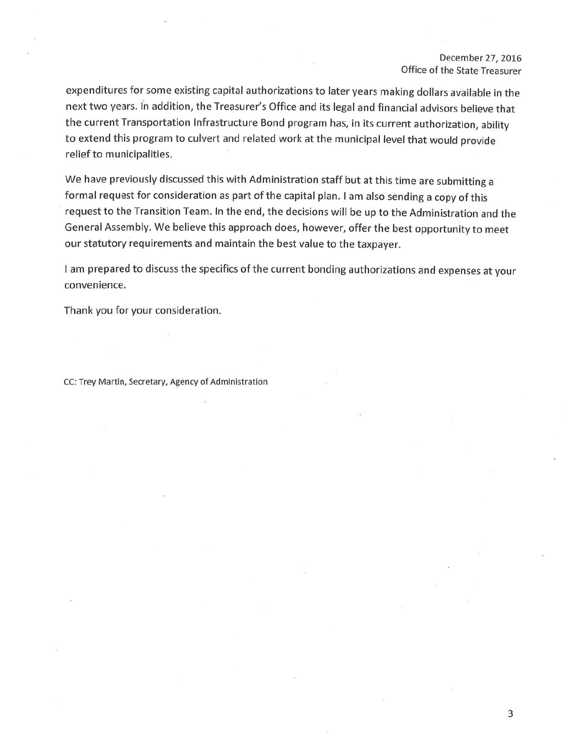#### December 27, 2016 Office of the State Treasurer

expenditures for some existing capital authorizations to later years making dollars available in the next two years. In addition, the Treasurer's Office and its legal and financial advisors believe that the current Transportation Infrastructure Bond program has, in its current authorization, ability to extend this program to culvert and related work at the municipal level that would provide relief to municipalities.

We have previously discussed this with Administration staff but at this time are submitting a formal request for consideration as part of the capital plan. I am also sending a copy of this request to the Transition Team. In the end, the decisions will be up to the Administration and the General Assembly. We believe this approach does, however, offer the best opportunity to meet our statutory requirements and maintain the best value to the taxpayer.

I am prepared to discuss the specifics of the current bonding authorizations and expenses at your convenience.

Thank you for your consideration.

CC: Trey Martin, Secretary, Agency of Administration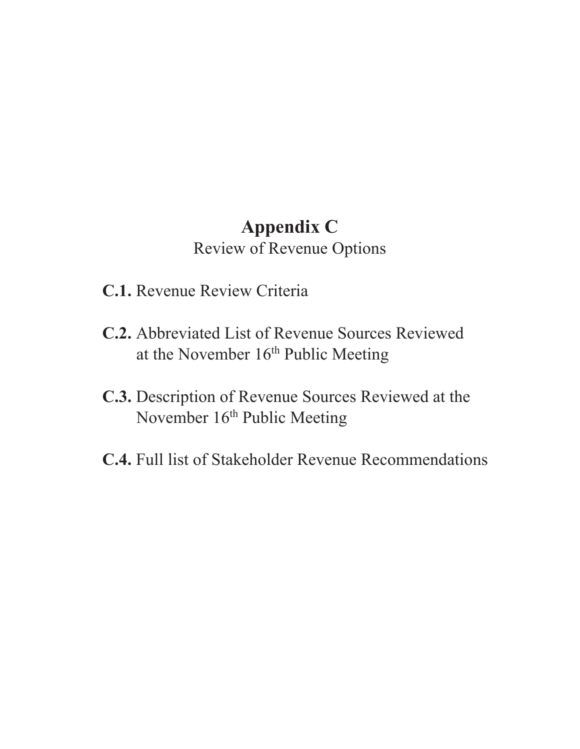# **Appendix C** Review of Revenue Options

- **C.1.** Revenue Review Criteria
- **C.2.** Abbreviated List of Revenue Sources Reviewed at the November 16<sup>th</sup> Public Meeting
- **C.3.** Description of Revenue Sources Reviewed at the November 16<sup>th</sup> Public Meeting
- **C.4.** Full list of Stakeholder Revenue Recommendations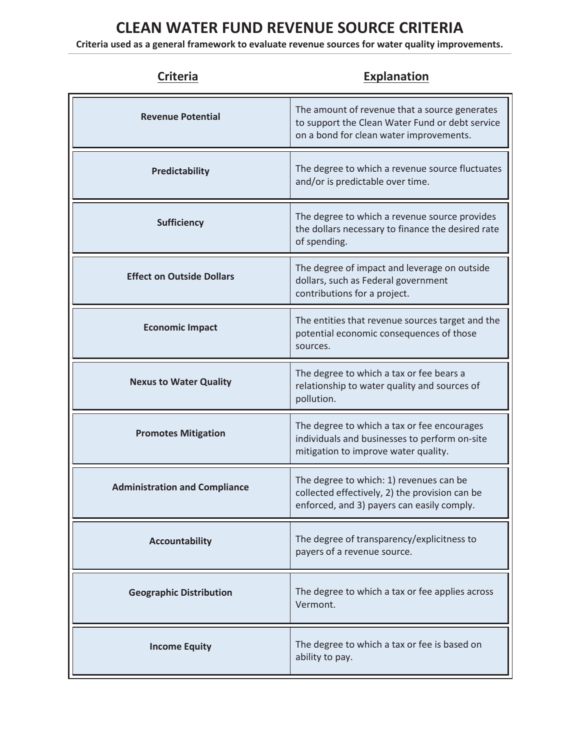### **CLEAN WATER FUND REVENUE SOURCE CRITERIA**

**Criteria used as a general framework to evaluate revenue sources for water quality improvements.** \_\_\_\_\_\_\_\_\_\_\_\_\_\_\_\_\_\_\_\_\_\_\_\_\_\_\_\_\_\_\_\_\_\_\_\_\_\_\_\_\_\_\_\_\_\_\_\_\_\_\_\_\_\_\_\_\_\_\_\_\_\_\_\_\_\_\_\_\_\_\_\_\_\_\_\_\_\_\_\_\_\_\_\_\_\_\_\_\_\_\_\_\_\_\_\_\_\_\_\_\_\_\_\_\_\_\_\_\_\_\_\_\_\_\_\_\_\_\_\_\_\_\_\_\_\_\_\_\_\_\_\_\_\_\_\_\_\_\_\_\_\_\_\_\_\_\_\_\_\_\_\_\_\_\_\_\_\_\_\_\_\_\_\_\_\_\_\_\_\_\_\_\_\_\_\_\_\_\_\_\_\_\_\_\_\_\_\_\_\_\_\_\_\_\_\_\_\_\_\_\_\_\_\_\_\_\_\_\_\_\_\_\_\_\_\_\_\_\_\_\_\_\_\_\_\_\_\_\_\_\_\_\_\_

| <b>Criteria</b>                      | <b>Explanation</b>                                                                                                                          |
|--------------------------------------|---------------------------------------------------------------------------------------------------------------------------------------------|
| <b>Revenue Potential</b>             | The amount of revenue that a source generates<br>to support the Clean Water Fund or debt service<br>on a bond for clean water improvements. |
| Predictability                       | The degree to which a revenue source fluctuates<br>and/or is predictable over time.                                                         |
| <b>Sufficiency</b>                   | The degree to which a revenue source provides<br>the dollars necessary to finance the desired rate<br>of spending.                          |
| <b>Effect on Outside Dollars</b>     | The degree of impact and leverage on outside<br>dollars, such as Federal government<br>contributions for a project.                         |
| <b>Economic Impact</b>               | The entities that revenue sources target and the<br>potential economic consequences of those<br>sources.                                    |
| <b>Nexus to Water Quality</b>        | The degree to which a tax or fee bears a<br>relationship to water quality and sources of<br>pollution.                                      |
| <b>Promotes Mitigation</b>           | The degree to which a tax or fee encourages<br>individuals and businesses to perform on-site<br>mitigation to improve water quality.        |
| <b>Administration and Compliance</b> | The degree to which: 1) revenues can be<br>collected effectively, 2) the provision can be<br>enforced, and 3) payers can easily comply.     |
| <b>Accountability</b>                | The degree of transparency/explicitness to<br>payers of a revenue source.                                                                   |
| <b>Geographic Distribution</b>       | The degree to which a tax or fee applies across<br>Vermont.                                                                                 |
| <b>Income Equity</b>                 | The degree to which a tax or fee is based on<br>ability to pay.                                                                             |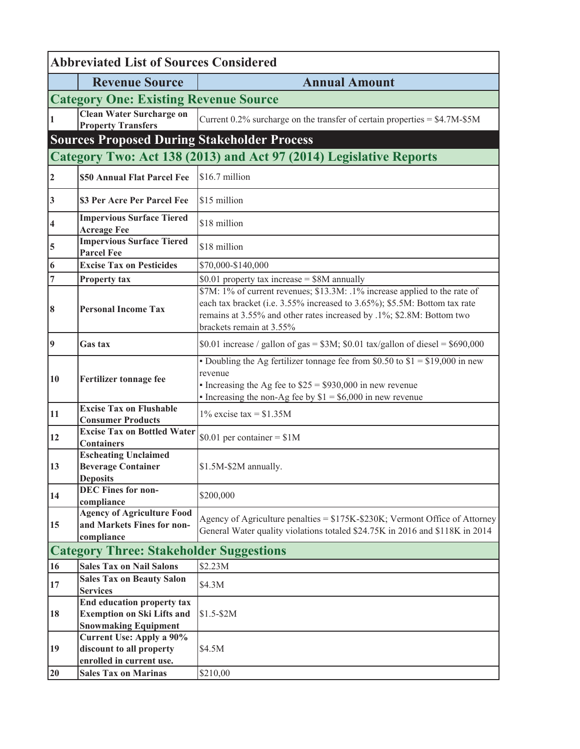| <b>Abbreviated List of Sources Considered</b> |                                                                                                       |                                                                                                                                                                                                                                                              |  |  |  |
|-----------------------------------------------|-------------------------------------------------------------------------------------------------------|--------------------------------------------------------------------------------------------------------------------------------------------------------------------------------------------------------------------------------------------------------------|--|--|--|
|                                               | <b>Revenue Source</b>                                                                                 | <b>Annual Amount</b>                                                                                                                                                                                                                                         |  |  |  |
|                                               | <b>Category One: Existing Revenue Source</b>                                                          |                                                                                                                                                                                                                                                              |  |  |  |
|                                               | <b>Clean Water Surcharge on</b><br><b>Property Transfers</b>                                          | Current $0.2\%$ surcharge on the transfer of certain properties = $$4.7M$-$5M$                                                                                                                                                                               |  |  |  |
|                                               | <b>Sources Proposed During Stakeholder Process</b>                                                    |                                                                                                                                                                                                                                                              |  |  |  |
|                                               |                                                                                                       | Category Two: Act 138 (2013) and Act 97 (2014) Legislative Reports                                                                                                                                                                                           |  |  |  |
| $\vert$ 2                                     | \$50 Annual Flat Parcel Fee                                                                           | \$16.7 million                                                                                                                                                                                                                                               |  |  |  |
| 3                                             | \$3 Per Acre Per Parcel Fee                                                                           | \$15 million                                                                                                                                                                                                                                                 |  |  |  |
| 4                                             | <b>Impervious Surface Tiered</b><br><b>Acreage Fee</b>                                                | \$18 million                                                                                                                                                                                                                                                 |  |  |  |
| 5                                             | <b>Impervious Surface Tiered</b><br><b>Parcel Fee</b>                                                 | \$18 million                                                                                                                                                                                                                                                 |  |  |  |
| 6                                             | <b>Excise Tax on Pesticides</b>                                                                       | \$70,000-\$140,000                                                                                                                                                                                                                                           |  |  |  |
| 7                                             | Property tax                                                                                          | \$0.01 property tax increase = $$8M$ annually                                                                                                                                                                                                                |  |  |  |
| 8                                             | <b>Personal Income Tax</b>                                                                            | \$7M: 1% of current revenues; \$13.3M: .1% increase applied to the rate of<br>each tax bracket (i.e. 3.55% increased to 3.65%); \$5.5M: Bottom tax rate<br>remains at 3.55% and other rates increased by .1%; \$2.8M: Bottom two<br>brackets remain at 3.55% |  |  |  |
| $\vert$ 9                                     | <b>Gas tax</b>                                                                                        | \$0.01 increase / gallon of gas = $$3M$ ; \$0.01 tax/gallon of diesel = \$690,000                                                                                                                                                                            |  |  |  |
| <b>10</b>                                     | Fertilizer tonnage fee                                                                                | • Doubling the Ag fertilizer tonnage fee from \$0.50 to $$1 = $19,000$ in new<br>revenue<br>• Increasing the Ag fee to $$25 = $930,000$ in new revenue<br>• Increasing the non-Ag fee by $$1 = $6,000$ in new revenue                                        |  |  |  |
| 11                                            | <b>Excise Tax on Flushable</b><br><b>Consumer Products</b>                                            | $1\%$ excise tax = \$1.35M                                                                                                                                                                                                                                   |  |  |  |
| 12                                            | <b>Excise Tax on Bottled Water</b><br><b>Containers</b>                                               | $$0.01$ per container = \$1M                                                                                                                                                                                                                                 |  |  |  |
| 13                                            | <b>Escheating Unclaimed</b><br><b>Beverage Container</b><br><b>Deposits</b>                           | \$1.5M-\$2M annually.                                                                                                                                                                                                                                        |  |  |  |
| 14                                            | <b>DEC Fines for non-</b><br>compliance                                                               | \$200,000                                                                                                                                                                                                                                                    |  |  |  |
| 15                                            | <b>Agency of Agriculture Food</b><br>and Markets Fines for non-<br>compliance                         | Agency of Agriculture penalties = \$175K-\$230K; Vermont Office of Attorney<br>General Water quality violations totaled \$24.75K in 2016 and \$118K in 2014                                                                                                  |  |  |  |
|                                               | <b>Category Three: Stakeholder Suggestions</b>                                                        |                                                                                                                                                                                                                                                              |  |  |  |
| 16                                            | <b>Sales Tax on Nail Salons</b>                                                                       | \$2.23M                                                                                                                                                                                                                                                      |  |  |  |
| 17                                            | <b>Sales Tax on Beauty Salon</b><br><b>Services</b>                                                   | \$4.3M                                                                                                                                                                                                                                                       |  |  |  |
| 18                                            | <b>End education property tax</b><br><b>Exemption on Ski Lifts and</b><br><b>Snowmaking Equipment</b> | $$1.5-$2M$                                                                                                                                                                                                                                                   |  |  |  |
| 19                                            | <b>Current Use: Apply a 90%</b><br>discount to all property<br>enrolled in current use.               | \$4.5M                                                                                                                                                                                                                                                       |  |  |  |
| 20                                            | <b>Sales Tax on Marinas</b>                                                                           | \$210,00                                                                                                                                                                                                                                                     |  |  |  |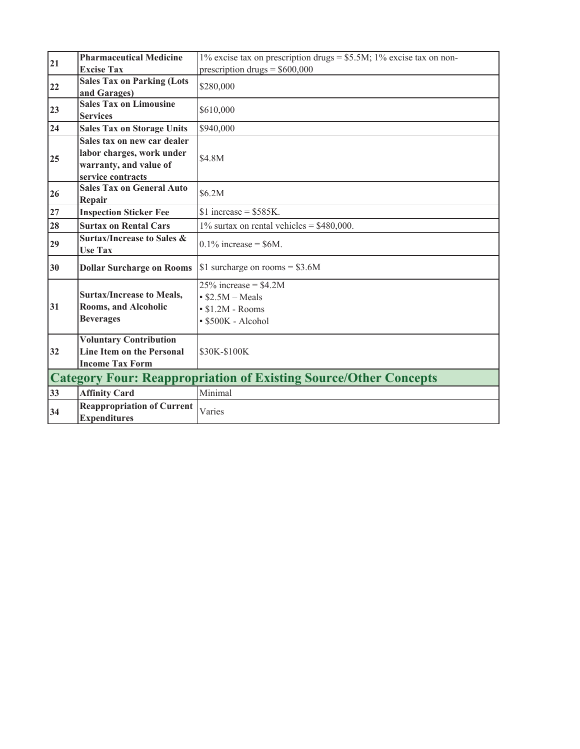| 21 | <b>Pharmaceutical Medicine</b>                                                                          | 1% excise tax on prescription drugs = $$5.5M$ ; 1% excise tax on non-                     |  |  |  |
|----|---------------------------------------------------------------------------------------------------------|-------------------------------------------------------------------------------------------|--|--|--|
|    | <b>Excise Tax</b>                                                                                       | prescription drugs = $$600,000$                                                           |  |  |  |
| 22 | <b>Sales Tax on Parking (Lots</b><br>and Garages)                                                       | \$280,000                                                                                 |  |  |  |
| 23 | <b>Sales Tax on Limousine</b><br><b>Services</b>                                                        | \$610,000                                                                                 |  |  |  |
| 24 | <b>Sales Tax on Storage Units</b>                                                                       | \$940,000                                                                                 |  |  |  |
| 25 | Sales tax on new car dealer<br>labor charges, work under<br>warranty, and value of<br>service contracts | \$4.8M                                                                                    |  |  |  |
| 26 | <b>Sales Tax on General Auto</b><br>Repair                                                              | \$6.2M                                                                                    |  |  |  |
| 27 | <b>Inspection Sticker Fee</b>                                                                           | $$1$ increase = \$585K.                                                                   |  |  |  |
| 28 | <b>Surtax on Rental Cars</b>                                                                            | $1\%$ surtax on rental vehicles = \$480,000.                                              |  |  |  |
| 29 | <b>Surtax/Increase to Sales &amp;</b><br><b>Use Tax</b>                                                 | $0.1\%$ increase = \$6M.                                                                  |  |  |  |
| 30 | <b>Dollar Surcharge on Rooms</b>                                                                        | \$1 surcharge on rooms = $$3.6M$                                                          |  |  |  |
| 31 | <b>Surtax/Increase to Meals,</b><br><b>Rooms, and Alcoholic</b><br><b>Beverages</b>                     | $25\%$ increase = \$4.2M<br>$$2.5M-Meals$<br>$\cdot$ \$1.2M - Rooms<br>· \$500K - Alcohol |  |  |  |
| 32 | <b>Voluntary Contribution</b><br><b>Line Item on the Personal</b><br><b>Income Tax Form</b>             | \$30K-\$100K                                                                              |  |  |  |
|    | <b>Category Four: Reappropriation of Existing Source/Other Concepts</b>                                 |                                                                                           |  |  |  |
| 33 | <b>Affinity Card</b>                                                                                    | Minimal                                                                                   |  |  |  |
| 34 | <b>Reappropriation of Current</b><br><b>Expenditures</b>                                                | Varies                                                                                    |  |  |  |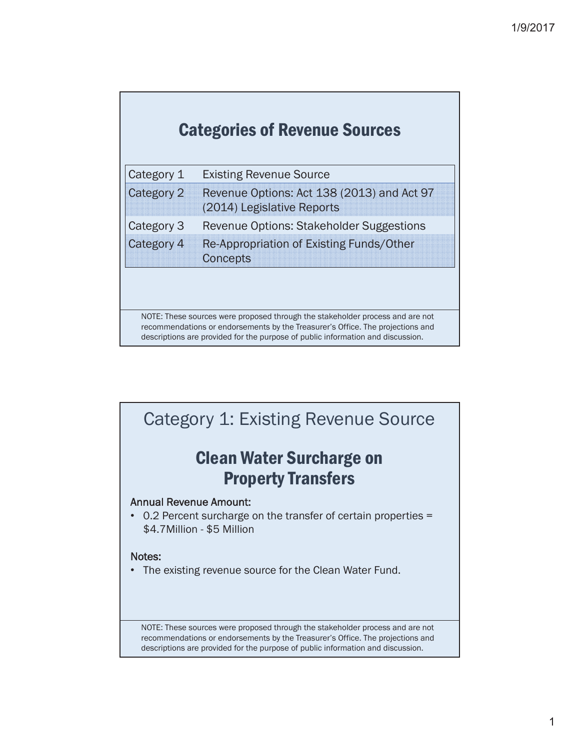| <b>Categories of Revenue Sources</b> |  |  |  |
|--------------------------------------|--|--|--|
|--------------------------------------|--|--|--|

| Category 1 | <b>Existing Revenue Source</b>                                           |
|------------|--------------------------------------------------------------------------|
| Category 2 | Revenue Options: Act 138 (2013) and Act 97<br>(2014) Legislative Reports |
| Category 3 | Revenue Options: Stakeholder Suggestions                                 |
| Category 4 | Re-Appropriation of Existing Funds/Other<br><b>Concepts</b>              |

NOTE: These sources were proposed through the stakeholder process and are not recommendations or endorsements by the Treasurer's Office. The projections and descriptions are provided for the purpose of public information and discussion.

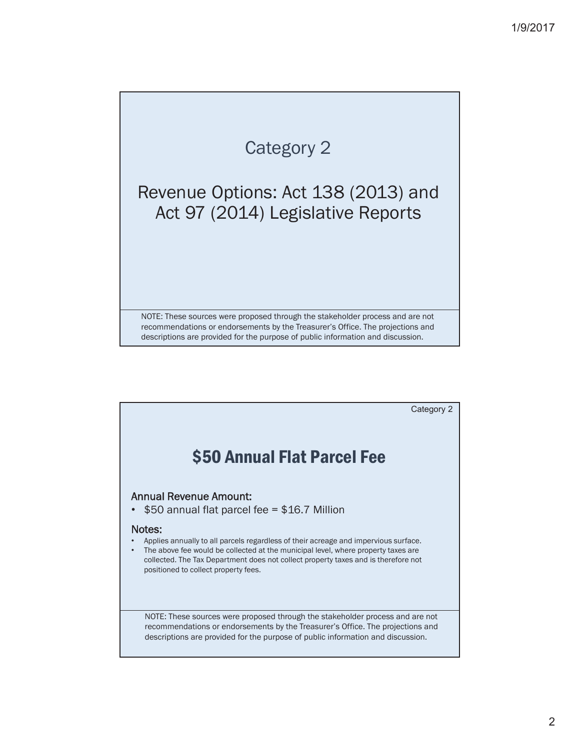### Revenue Options: Act 138 (2013) and Act 97 (2014) Legislative Reports

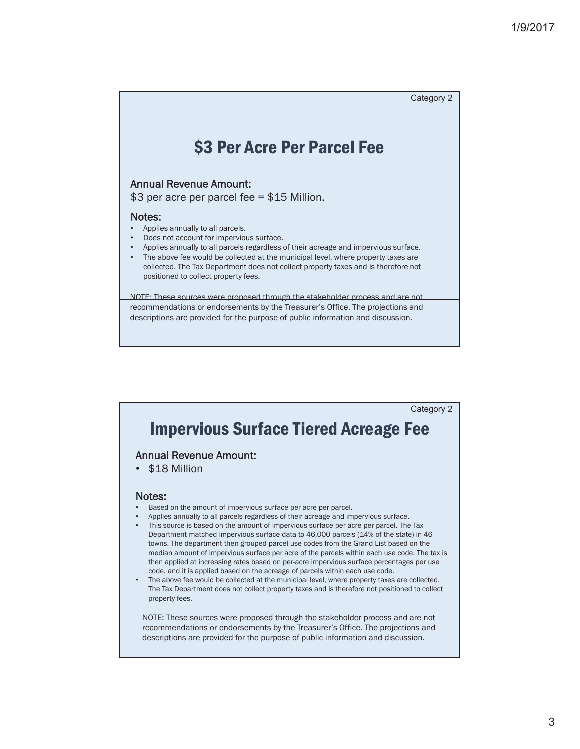

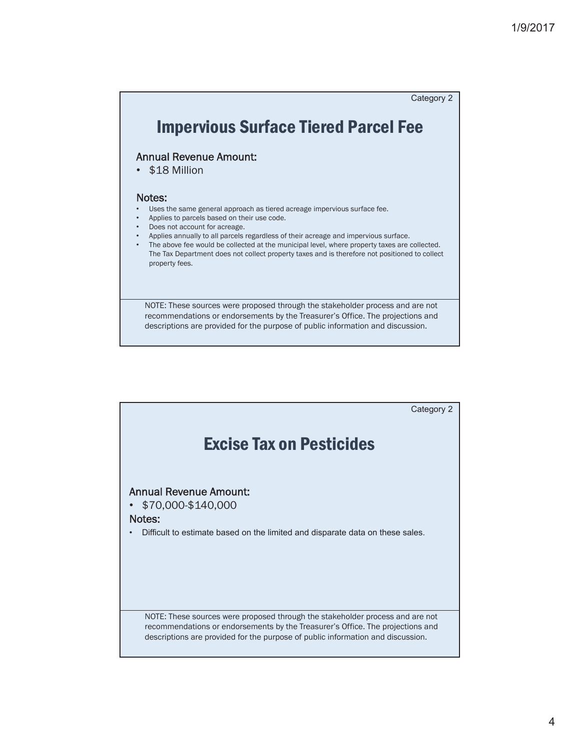

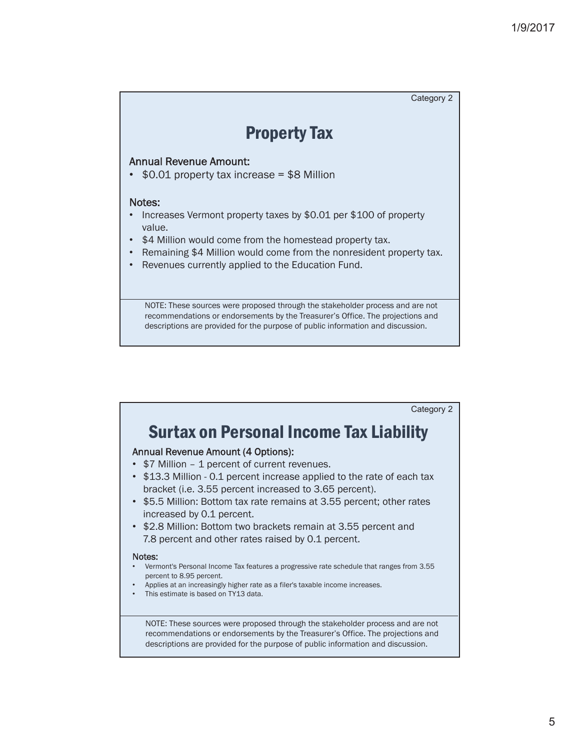

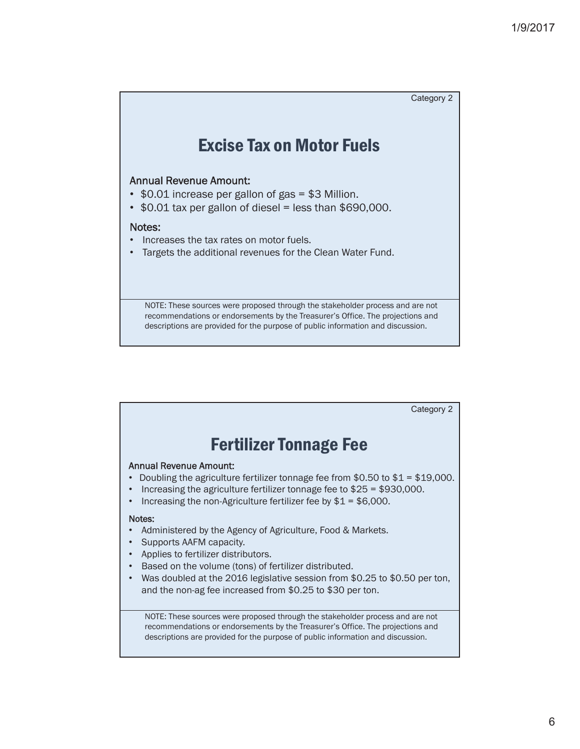

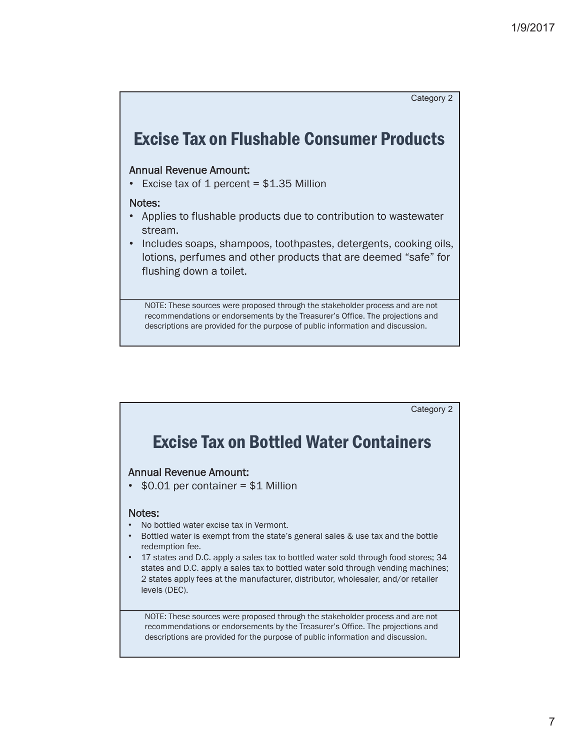

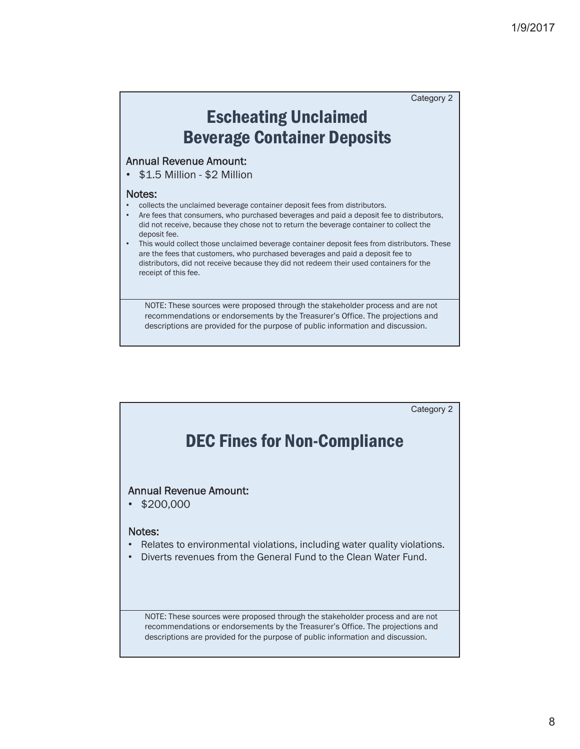# Escheating Unclaimed Beverage Container Deposits

#### Annual Revenue Amount:

• \$1.5 Million - \$2 Million

#### Notes:

- collects the unclaimed beverage container deposit fees from distributors.
- Are fees that consumers, who purchased beverages and paid a deposit fee to distributors, did not receive, because they chose not to return the beverage container to collect the deposit fee.
- This would collect those unclaimed beverage container deposit fees from distributors. These are the fees that customers, who purchased beverages and paid a deposit fee to distributors, did not receive because they did not redeem their used containers for the receipt of this fee.

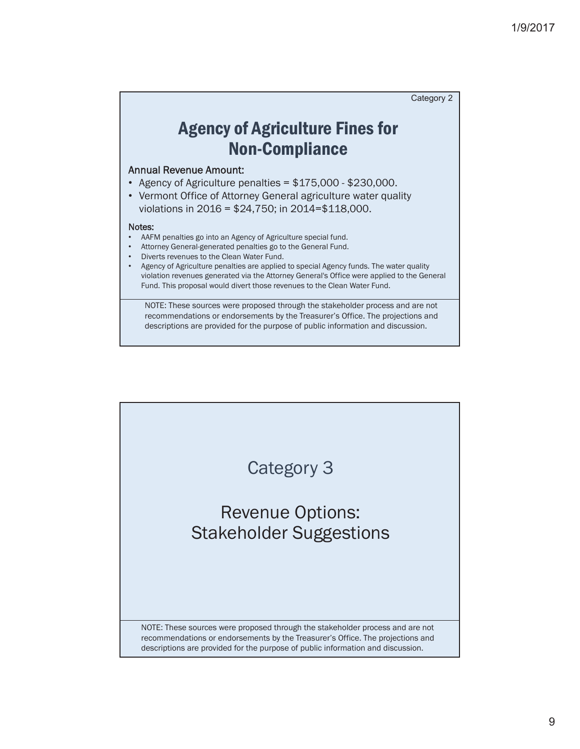### Agency of Agriculture Fines for Non-Compliance

#### Annual Revenue Amount:

- Agency of Agriculture penalties =  $$175,000 $230,000$ .
- Vermont Office of Attorney General agriculture water quality violations in 2016 = \$24,750; in 2014=\$118,000.

#### Notes:

- AAFM penalties go into an Agency of Agriculture special fund.
- Attorney General-generated penalties go to the General Fund.
- Diverts revenues to the Clean Water Fund.
- Agency of Agriculture penalties are applied to special Agency funds. The water quality violation revenues generated via the Attorney General's Office were applied to the General Fund. This proposal would divert those revenues to the Clean Water Fund.

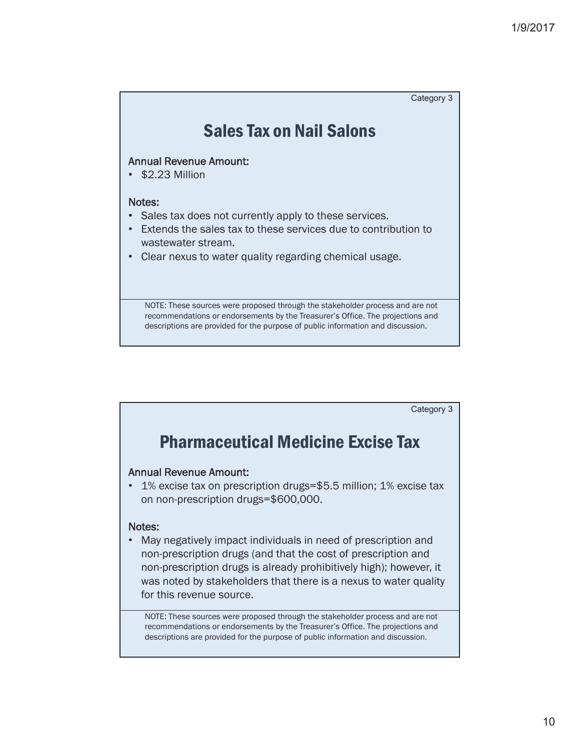### Sales Tax on Nail Salons

#### Annual Revenue Amount:

• \$2.23 Million

#### Notes:

- Sales tax does not currently apply to these services.
- Extends the sales tax to these services due to contribution to wastewater stream.
- Clear nexus to water quality regarding chemical usage.

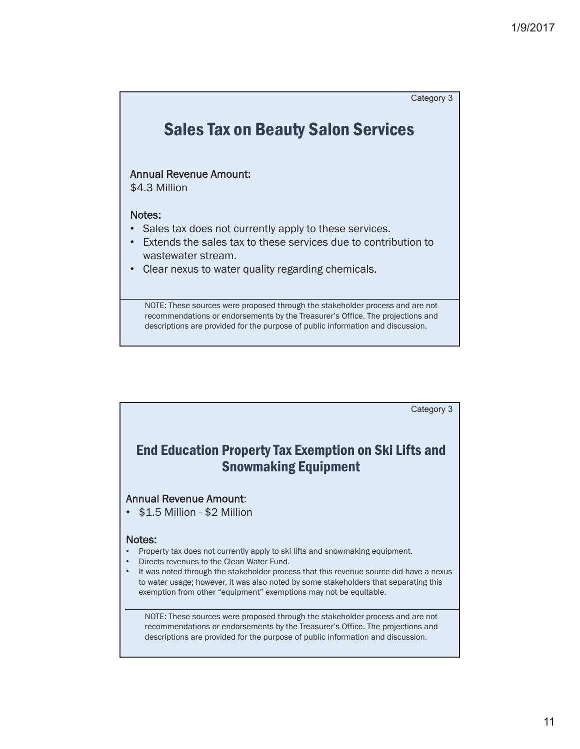### Sales Tax on Beauty Salon Services

#### Annual Revenue Amount:

\$4.3 Million

#### Notes:

- Sales tax does not currently apply to these services.
- Extends the sales tax to these services due to contribution to wastewater stream.
- Clear nexus to water quality regarding chemicals.

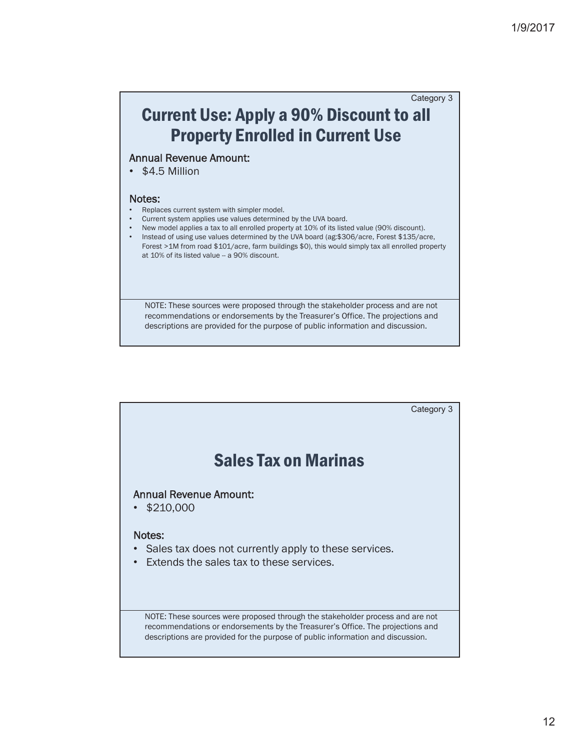### Current Use: Apply a 90% Discount to all Property Enrolled in Current Use Category 3

#### Annual Revenue Amount:

 $•$  \$4.5 Million

#### Notes:

- Replaces current system with simpler model.
- Current system applies use values determined by the UVA board.
- New model applies a tax to all enrolled property at 10% of its listed value (90% discount).
- Instead of using use values determined by the UVA board (ag:\$306/acre, Forest \$135/acre, Forest >1M from road \$101/acre, farm buildings \$0), this would simply tax all enrolled property at 10% of its listed value -- a 90% discount.

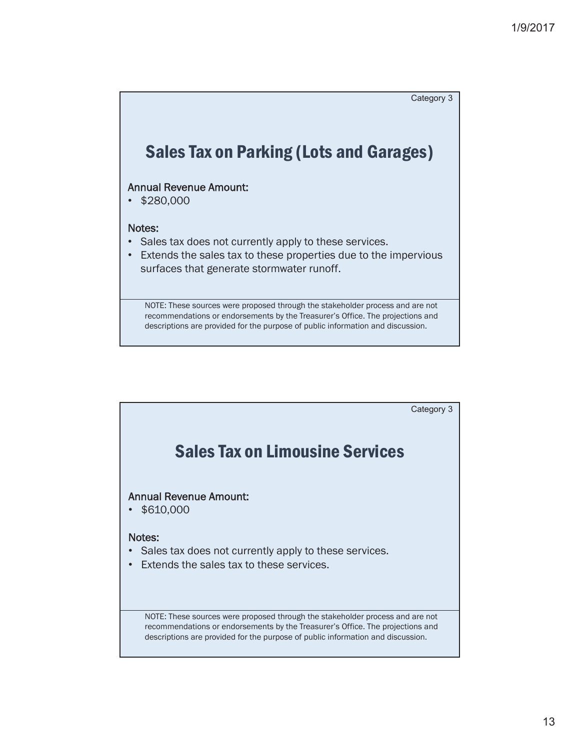

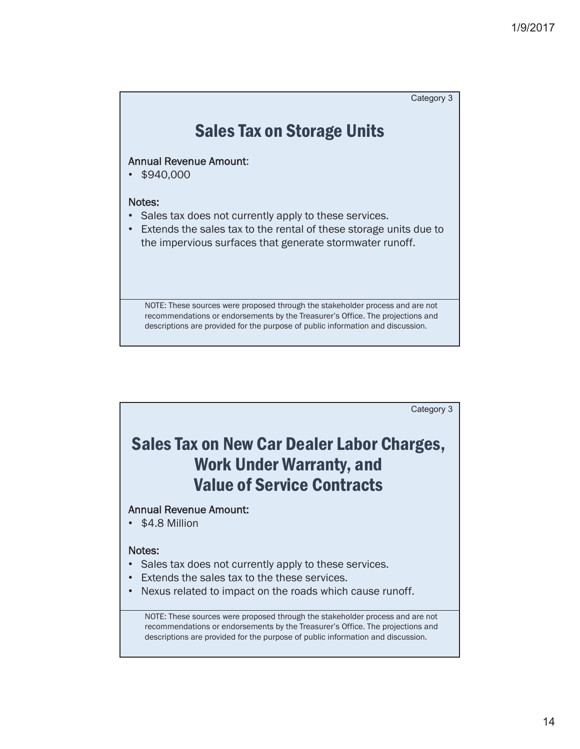

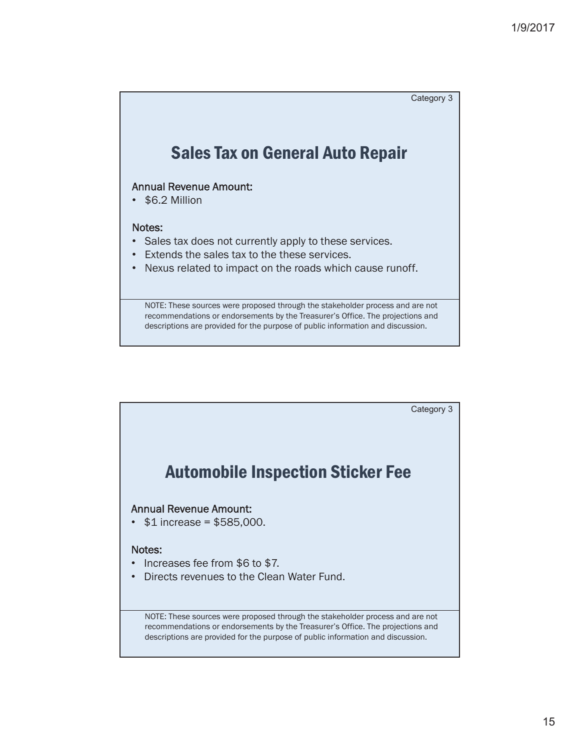

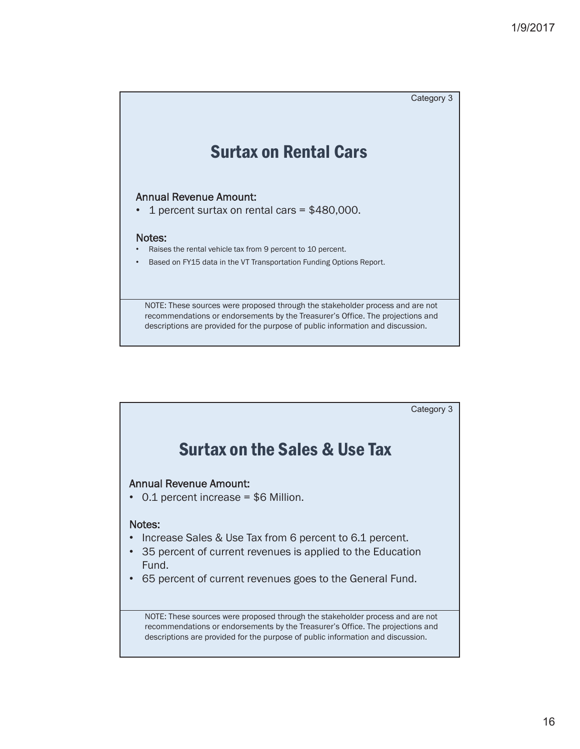

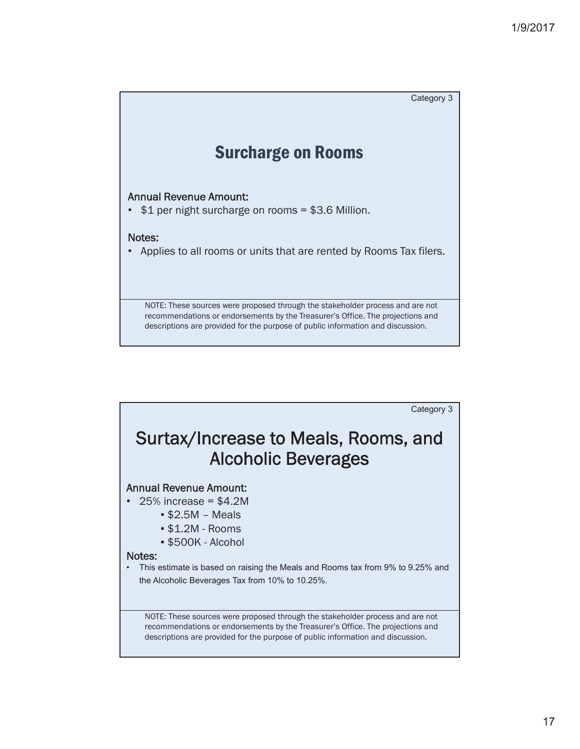

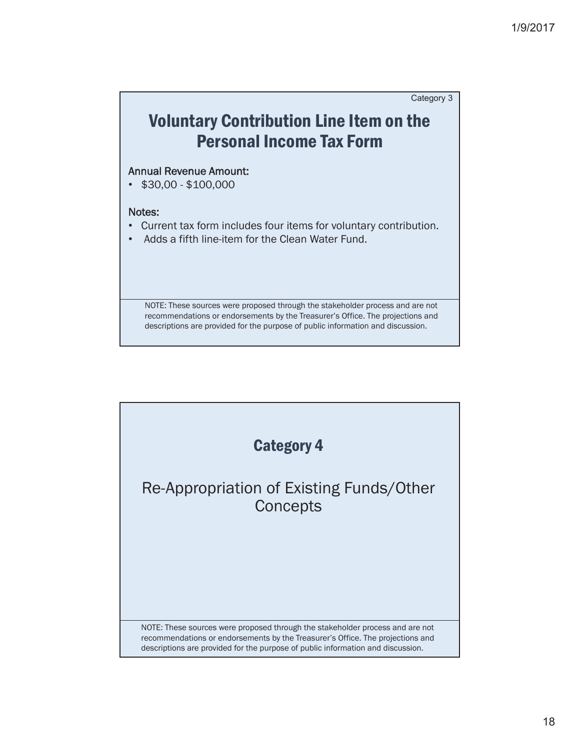

### Annual Revenue Amount:

 $\cdot$  \$30,00 - \$100,000

#### Notes:

- Current tax form includes four items for voluntary contribution.
- Adds a fifth line-item for the Clean Water Fund.

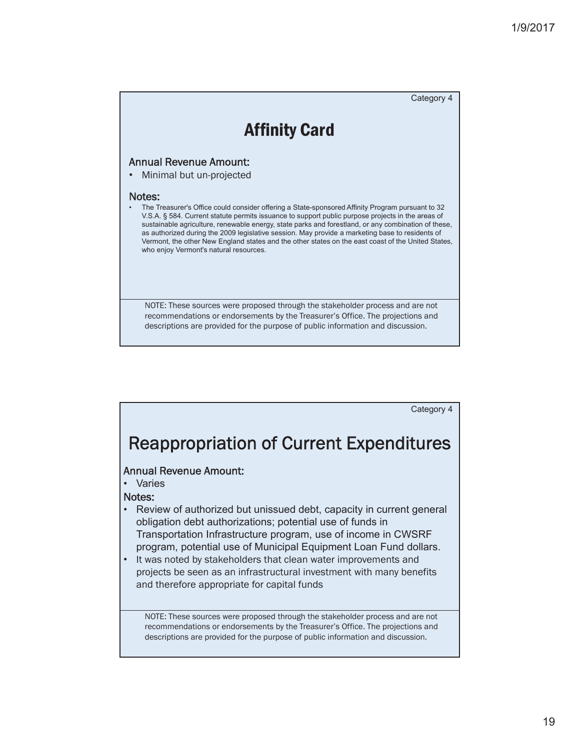

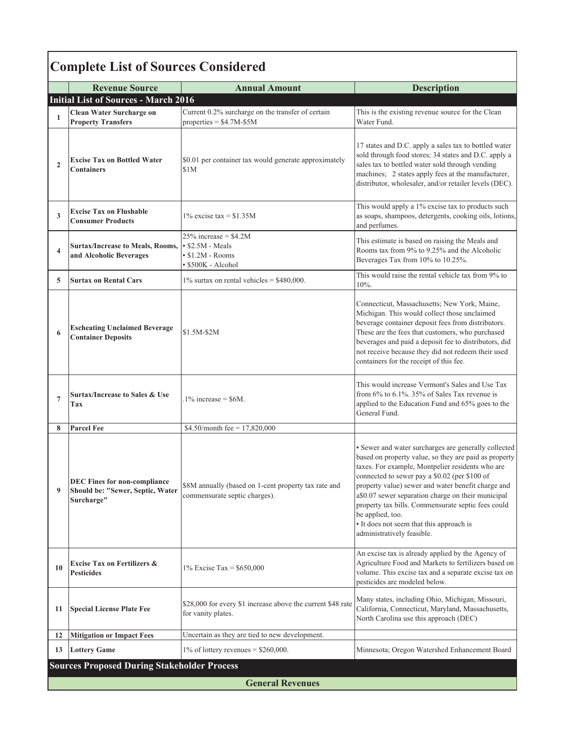# Complete List of Sources Considered

|                         | <b>Revenue Source</b>                                                                 | <b>Annual Amount</b>                                                                   | <b>Description</b>                                                                                                                                                                                                                                                                                                                                                                                                                                                                 |  |  |  |
|-------------------------|---------------------------------------------------------------------------------------|----------------------------------------------------------------------------------------|------------------------------------------------------------------------------------------------------------------------------------------------------------------------------------------------------------------------------------------------------------------------------------------------------------------------------------------------------------------------------------------------------------------------------------------------------------------------------------|--|--|--|
|                         | <b>Initial List of Sources - March 2016</b>                                           |                                                                                        |                                                                                                                                                                                                                                                                                                                                                                                                                                                                                    |  |  |  |
| 1                       | <b>Clean Water Surcharge on</b><br><b>Property Transfers</b>                          | Current 0.2% surcharge on the transfer of certain<br>properties = $$4.7M-S5M$          | This is the existing revenue source for the Clean<br>Water Fund.                                                                                                                                                                                                                                                                                                                                                                                                                   |  |  |  |
| $\overline{2}$          | <b>Excise Tax on Bottled Water</b><br><b>Containers</b>                               | \$0.01 per container tax would generate approximately<br>\$1M                          | 17 states and D.C. apply a sales tax to bottled water<br>sold through food stores; 34 states and D.C. apply a<br>sales tax to bottled water sold through vending<br>machines; 2 states apply fees at the manufacturer,<br>distributor, wholesaler, and/or retailer levels (DEC).                                                                                                                                                                                                   |  |  |  |
| 3                       | <b>Excise Tax on Flushable</b><br><b>Consumer Products</b>                            | $1\%$ excise tax = \$1.35M                                                             | This would apply a 1% excise tax to products such<br>as soaps, shampoos, detergents, cooking oils, lotions,<br>and perfumes.                                                                                                                                                                                                                                                                                                                                                       |  |  |  |
| $\overline{\mathbf{4}}$ | <b>Surtax/Increase to Meals, Rooms,</b><br>and Alcoholic Beverages                    | $25\%$ increase = \$4.2M<br>S2.5M - Meals<br>$\cdot$ \$1.2M - Rooms<br>S500K - Alcohol | This estimate is based on raising the Meals and<br>Rooms tax from 9% to 9.25% and the Alcoholic<br>Beverages Tax from 10% to 10.25%.                                                                                                                                                                                                                                                                                                                                               |  |  |  |
| 5                       | <b>Surtax on Rental Cars</b>                                                          | $1\%$ surtax on rental vehicles = \$480,000.                                           | This would raise the rental vehicle tax from 9% to<br>10%.                                                                                                                                                                                                                                                                                                                                                                                                                         |  |  |  |
| 6                       | <b>Escheating Unclaimed Beverage</b><br><b>Container Deposits</b>                     | \$1.5M-\$2M                                                                            | Connecticut, Massachusetts; New York, Maine,<br>Michigan. This would collect those unclaimed<br>beverage container deposit fees from distributors.<br>These are the fees that customers, who purchased<br>beverages and paid a deposit fee to distributors, did<br>not receive because they did not redeem their used<br>containers for the receipt of this fee.                                                                                                                   |  |  |  |
| $\overline{7}$          | <b>Surtax/Increase to Sales &amp; Use</b><br>Tax                                      | $1\%$ increase = \$6M.                                                                 | This would increase Vermont's Sales and Use Tax<br>from $6\%$ to $6.1\%$ . 35% of Sales Tax revenue is<br>applied to the Education Fund and 65% goes to the<br>General Fund.                                                                                                                                                                                                                                                                                                       |  |  |  |
| 8                       | <b>Parcel Fee</b>                                                                     | \$4.50/month fee = $17,820,000$                                                        |                                                                                                                                                                                                                                                                                                                                                                                                                                                                                    |  |  |  |
| 9                       | <b>DEC Fines for non-compliance</b><br>Should be: "Sewer, Septic, Water<br>Surcharge" | \$8M annually (based on 1-cent property tax rate and<br>commensurate septic charges).  | · Sewer and water surcharges are generally collected<br>based on property value, so they are paid as property<br>taxes. For example, Montpelier residents who are<br>connected to sewer pay a \$0.02 (per \$100 of<br>property value) sewer and water benefit charge and<br>a\$0.07 sewer separation charge on their municipal<br>property tax bills. Commensurate septic fees could<br>be applied, too.<br>• It does not seem that this approach is<br>administratively feasible. |  |  |  |
| 10                      | <b>Excise Tax on Fertilizers &amp;</b><br><b>Pesticides</b>                           | 1% Excise Tax = $$650,000$                                                             | An excise tax is already applied by the Agency of<br>Agriculture Food and Markets to fertilizers based on<br>volume. This excise tax and a separate excise tax on<br>pesticides are modeled below.                                                                                                                                                                                                                                                                                 |  |  |  |
| 11                      | <b>Special License Plate Fee</b>                                                      | \$28,000 for every \$1 increase above the current \$48 rate<br>for vanity plates.      | Many states, including Ohio, Michigan, Missouri,<br>California, Connecticut, Maryland, Massachusetts,<br>North Carolina use this approach (DEC)                                                                                                                                                                                                                                                                                                                                    |  |  |  |
| 12                      | <b>Mitigation or Impact Fees</b>                                                      | Uncertain as they are tied to new development.                                         |                                                                                                                                                                                                                                                                                                                                                                                                                                                                                    |  |  |  |
| 13                      | <b>Lottery Game</b>                                                                   | $1\%$ of lottery revenues = \$260,000.                                                 | Minnesota; Oregon Watershed Enhancement Board                                                                                                                                                                                                                                                                                                                                                                                                                                      |  |  |  |
|                         | <b>Sources Proposed During Stakeholder Process</b>                                    |                                                                                        |                                                                                                                                                                                                                                                                                                                                                                                                                                                                                    |  |  |  |
|                         | <b>General Revenues</b>                                                               |                                                                                        |                                                                                                                                                                                                                                                                                                                                                                                                                                                                                    |  |  |  |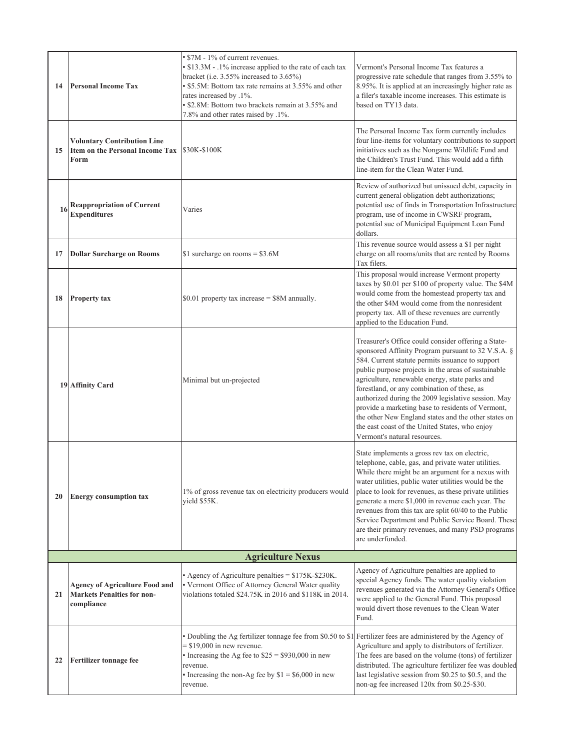| 14 | <b>Personal Income Tax</b>                                                               | • \$7M - 1% of current revenues.<br>• \$13.3M - .1% increase applied to the rate of each tax<br>bracket (i.e. 3.55% increased to 3.65%)<br>• \$5.5M: Bottom tax rate remains at 3.55% and other<br>rates increased by .1%.<br>• \$2.8M: Bottom two brackets remain at 3.55% and<br>7.8% and other rates raised by .1%. | Vermont's Personal Income Tax features a<br>progressive rate schedule that ranges from 3.55% to<br>8.95%. It is applied at an increasingly higher rate as<br>a filer's taxable income increases. This estimate is<br>based on TY13 data.                                                                                                                                                                                                                                                                                                                                    |  |  |  |
|----|------------------------------------------------------------------------------------------|------------------------------------------------------------------------------------------------------------------------------------------------------------------------------------------------------------------------------------------------------------------------------------------------------------------------|-----------------------------------------------------------------------------------------------------------------------------------------------------------------------------------------------------------------------------------------------------------------------------------------------------------------------------------------------------------------------------------------------------------------------------------------------------------------------------------------------------------------------------------------------------------------------------|--|--|--|
| 15 | <b>Voluntary Contribution Line</b><br>Item on the Personal Income Tax<br>Form            | \$30K-\$100K                                                                                                                                                                                                                                                                                                           | The Personal Income Tax form currently includes<br>four line-items for voluntary contributions to support<br>initiatives such as the Nongame Wildlife Fund and<br>the Children's Trust Fund. This would add a fifth<br>line-item for the Clean Water Fund.                                                                                                                                                                                                                                                                                                                  |  |  |  |
| 16 | <b>Reappropriation of Current</b><br><b>Expenditures</b>                                 | Varies                                                                                                                                                                                                                                                                                                                 | Review of authorized but unissued debt, capacity in<br>current general obligation debt authorizations;<br>potential use of finds in Transportation Infrastructure<br>program, use of income in CWSRF program,<br>potential sue of Municipal Equipment Loan Fund<br>dollars.                                                                                                                                                                                                                                                                                                 |  |  |  |
| 17 | <b>Dollar Surcharge on Rooms</b>                                                         | \$1 surcharge on rooms = $$3.6M$                                                                                                                                                                                                                                                                                       | This revenue source would assess a \$1 per night<br>charge on all rooms/units that are rented by Rooms<br>Tax filers.                                                                                                                                                                                                                                                                                                                                                                                                                                                       |  |  |  |
| 18 | <b>Property tax</b>                                                                      | \$0.01 property tax increase = \$8M annually.                                                                                                                                                                                                                                                                          | This proposal would increase Vermont property<br>taxes by \$0.01 per \$100 of property value. The \$4M<br>would come from the homestead property tax and<br>the other \$4M would come from the nonresident<br>property tax. All of these revenues are currently<br>applied to the Education Fund.                                                                                                                                                                                                                                                                           |  |  |  |
|    | 19 Affinity Card                                                                         | Minimal but un-projected                                                                                                                                                                                                                                                                                               | Treasurer's Office could consider offering a State-<br>sponsored Affinity Program pursuant to 32 V.S.A. §<br>584. Current statute permits issuance to support<br>public purpose projects in the areas of sustainable<br>agriculture, renewable energy, state parks and<br>forestland, or any combination of these, as<br>authorized during the 2009 legislative session. May<br>provide a marketing base to residents of Vermont,<br>the other New England states and the other states on<br>the east coast of the United States, who enjoy<br>Vermont's natural resources. |  |  |  |
| 20 | <b>Energy consumption tax</b>                                                            | 1% of gross revenue tax on electricity producers would<br>yield \$55K.                                                                                                                                                                                                                                                 | State implements a gross rev tax on electric,<br>telephone, cable, gas, and private water utilities.<br>While there might be an argument for a nexus with<br>water utilities, public water utilities would be the<br>place to look for revenues, as these private utilities<br>generate a mere \$1,000 in revenue each year. The<br>revenues from this tax are split 60/40 to the Public<br>Service Department and Public Service Board. These<br>are their primary revenues, and many PSD programs<br>are underfunded.                                                     |  |  |  |
|    | <b>Agriculture Nexus</b>                                                                 |                                                                                                                                                                                                                                                                                                                        |                                                                                                                                                                                                                                                                                                                                                                                                                                                                                                                                                                             |  |  |  |
| 21 | <b>Agency of Agriculture Food and</b><br><b>Markets Penalties for non-</b><br>compliance | • Agency of Agriculture penalties $= $175K-S230K$ .<br>· Vermont Office of Attorney General Water quality<br>violations totaled \$24.75K in 2016 and \$118K in 2014.                                                                                                                                                   | Agency of Agriculture penalties are applied to<br>special Agency funds. The water quality violation<br>revenues generated via the Attorney General's Office<br>were applied to the General Fund. This proposal<br>would divert those revenues to the Clean Water<br>Fund.                                                                                                                                                                                                                                                                                                   |  |  |  |
| 22 | <b>Fertilizer tonnage fee</b>                                                            | • Doubling the Ag fertilizer tonnage fee from \$0.50 to \$1 Fertilizer fees are administered by the Agency of<br>$=$ \$19,000 in new revenue.<br>• Increasing the Ag fee to $$25 = $930,000$ in new<br>revenue.<br>• Increasing the non-Ag fee by $$1 = $6,000$ in new<br>revenue.                                     | Agriculture and apply to distributors of fertilizer.<br>The fees are based on the volume (tons) of fertilizer<br>distributed. The agriculture fertilizer fee was doubled<br>last legislative session from \$0.25 to \$0.5, and the<br>non-ag fee increased 120x from \$0.25-\$30.                                                                                                                                                                                                                                                                                           |  |  |  |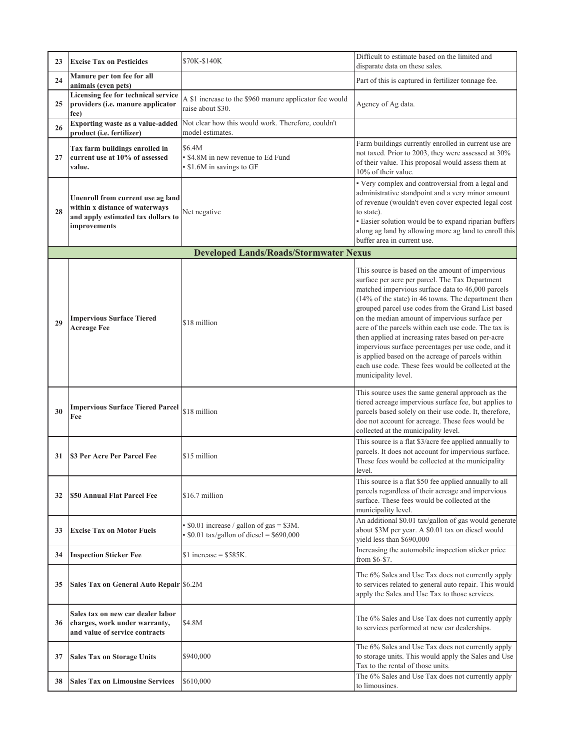| 23 | <b>Excise Tax on Pesticides</b>                                                                                           | \$70K-\$140K                                                                                         | Difficult to estimate based on the limited and<br>disparate data on these sales.                                                                                                                                                                                                                                                                                                                                                                                                                                                                                                                                                |  |  |  |
|----|---------------------------------------------------------------------------------------------------------------------------|------------------------------------------------------------------------------------------------------|---------------------------------------------------------------------------------------------------------------------------------------------------------------------------------------------------------------------------------------------------------------------------------------------------------------------------------------------------------------------------------------------------------------------------------------------------------------------------------------------------------------------------------------------------------------------------------------------------------------------------------|--|--|--|
| 24 | Manure per ton fee for all<br>animals (even pets)                                                                         |                                                                                                      | Part of this is captured in fertilizer tonnage fee.                                                                                                                                                                                                                                                                                                                                                                                                                                                                                                                                                                             |  |  |  |
| 25 | Licensing fee for technical service<br>providers (i.e. manure applicator<br>fee)                                          | A \$1 increase to the \$960 manure applicator fee would<br>raise about \$30.                         | Agency of Ag data.                                                                                                                                                                                                                                                                                                                                                                                                                                                                                                                                                                                                              |  |  |  |
| 26 | Exporting waste as a value-added<br>product (i.e. fertilizer)                                                             | Not clear how this would work. Therefore, couldn't<br>model estimates.                               |                                                                                                                                                                                                                                                                                                                                                                                                                                                                                                                                                                                                                                 |  |  |  |
| 27 | Tax farm buildings enrolled in<br>current use at 10% of assessed<br>value.                                                | \$6.4M<br>• \$4.8M in new revenue to Ed Fund<br>• \$1.6M in savings to GF                            | Farm buildings currently enrolled in current use are<br>not taxed. Prior to 2003, they were assessed at 30%<br>of their value. This proposal would assess them at<br>10% of their value.                                                                                                                                                                                                                                                                                                                                                                                                                                        |  |  |  |
| 28 | Unenroll from current use ag land<br>within x distance of waterways<br>and apply estimated tax dollars to<br>improvements | Net negative                                                                                         | • Very complex and controversial from a legal and<br>administrative standpoint and a very minor amount<br>of revenue (wouldn't even cover expected legal cost<br>to state).<br>· Easier solution would be to expand riparian buffers<br>along ag land by allowing more ag land to enroll this<br>buffer area in current use.                                                                                                                                                                                                                                                                                                    |  |  |  |
|    | <b>Developed Lands/Roads/Stormwater Nexus</b>                                                                             |                                                                                                      |                                                                                                                                                                                                                                                                                                                                                                                                                                                                                                                                                                                                                                 |  |  |  |
| 29 | <b>Impervious Surface Tiered</b><br><b>Acreage Fee</b>                                                                    | \$18 million                                                                                         | This source is based on the amount of impervious<br>surface per acre per parcel. The Tax Department<br>matched impervious surface data to 46,000 parcels<br>(14% of the state) in 46 towns. The department then<br>grouped parcel use codes from the Grand List based<br>on the median amount of impervious surface per<br>acre of the parcels within each use code. The tax is<br>then applied at increasing rates based on per-acre<br>impervious surface percentages per use code, and it<br>is applied based on the acreage of parcels within<br>each use code. These fees would be collected at the<br>municipality level. |  |  |  |
| 30 | <b>Impervious Surface Tiered Parcel</b><br>Fee                                                                            | \$18 million                                                                                         | This source uses the same general approach as the<br>tiered acreage impervious surface fee, but applies to<br>parcels based solely on their use code. It, therefore,<br>doe not account for acreage. These fees would be<br>collected at the municipality level.                                                                                                                                                                                                                                                                                                                                                                |  |  |  |
| 31 | \$3 Per Acre Per Parcel Fee                                                                                               | \$15 million                                                                                         | This source is a flat \$3/acre fee applied annually to<br>parcels. It does not account for impervious surface.<br>These fees would be collected at the municipality<br>level.                                                                                                                                                                                                                                                                                                                                                                                                                                                   |  |  |  |
| 32 | \$50 Annual Flat Parcel Fee                                                                                               | \$16.7 million                                                                                       | This source is a flat \$50 fee applied annually to all<br>parcels regardless of their acreage and impervious<br>surface. These fees would be collected at the<br>municipality level.                                                                                                                                                                                                                                                                                                                                                                                                                                            |  |  |  |
| 33 | <b>Excise Tax on Motor Fuels</b>                                                                                          | $\bullet$ \$0.01 increase / gallon of gas = \$3M.<br>$\cdot$ \$0.01 tax/gallon of diesel = \$690,000 | An additional \$0.01 tax/gallon of gas would generate<br>about \$3M per year. A \$0.01 tax on diesel would<br>yield less than \$690,000                                                                                                                                                                                                                                                                                                                                                                                                                                                                                         |  |  |  |
| 34 | <b>Inspection Sticker Fee</b>                                                                                             | $$1$ increase = \$585K.                                                                              | Increasing the automobile inspection sticker price<br>from \$6-\$7.                                                                                                                                                                                                                                                                                                                                                                                                                                                                                                                                                             |  |  |  |
| 35 | Sales Tax on General Auto Repair \$6.2M                                                                                   |                                                                                                      | The 6% Sales and Use Tax does not currently apply<br>to services related to general auto repair. This would<br>apply the Sales and Use Tax to those services.                                                                                                                                                                                                                                                                                                                                                                                                                                                                   |  |  |  |
| 36 | Sales tax on new car dealer labor<br>charges, work under warranty,<br>and value of service contracts                      | \$4.8M                                                                                               | The 6% Sales and Use Tax does not currently apply<br>to services performed at new car dealerships.                                                                                                                                                                                                                                                                                                                                                                                                                                                                                                                              |  |  |  |
| 37 | <b>Sales Tax on Storage Units</b>                                                                                         | \$940,000                                                                                            | The 6% Sales and Use Tax does not currently apply<br>to storage units. This would apply the Sales and Use<br>Tax to the rental of those units.                                                                                                                                                                                                                                                                                                                                                                                                                                                                                  |  |  |  |
| 38 | <b>Sales Tax on Limousine Services</b>                                                                                    | \$610,000                                                                                            | The 6% Sales and Use Tax does not currently apply<br>to limousines.                                                                                                                                                                                                                                                                                                                                                                                                                                                                                                                                                             |  |  |  |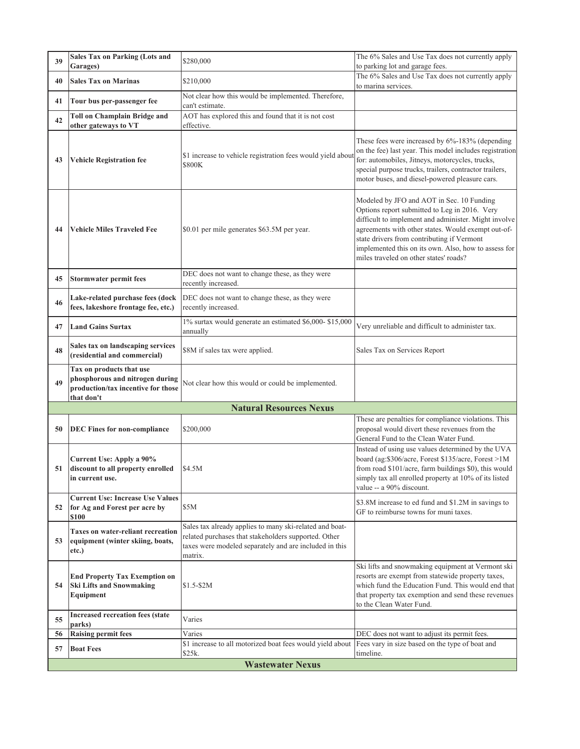| 39 | <b>Sales Tax on Parking (Lots and</b><br>Garages)                                                               | \$280,000                                                                                                                                                                            | The 6% Sales and Use Tax does not currently apply<br>to parking lot and garage fees.                                                                                                                                                                                                                                                                     |
|----|-----------------------------------------------------------------------------------------------------------------|--------------------------------------------------------------------------------------------------------------------------------------------------------------------------------------|----------------------------------------------------------------------------------------------------------------------------------------------------------------------------------------------------------------------------------------------------------------------------------------------------------------------------------------------------------|
| 40 | <b>Sales Tax on Marinas</b>                                                                                     | \$210,000                                                                                                                                                                            | The 6% Sales and Use Tax does not currently apply                                                                                                                                                                                                                                                                                                        |
|    |                                                                                                                 | Not clear how this would be implemented. Therefore,                                                                                                                                  | to marina services.                                                                                                                                                                                                                                                                                                                                      |
| 41 | Tour bus per-passenger fee                                                                                      | can't estimate.                                                                                                                                                                      |                                                                                                                                                                                                                                                                                                                                                          |
| 42 | <b>Toll on Champlain Bridge and</b><br>other gateways to VT                                                     | AOT has explored this and found that it is not cost<br>effective.                                                                                                                    |                                                                                                                                                                                                                                                                                                                                                          |
| 43 | <b>Vehicle Registration fee</b>                                                                                 | \$1 increase to vehicle registration fees would yield abou<br>\$800K                                                                                                                 | These fees were increased by 6%-183% (depending<br>on the fee) last year. This model includes registration<br>for: automobiles, Jitneys, motorcycles, trucks,<br>special purpose trucks, trailers, contractor trailers,<br>motor buses, and diesel-powered pleasure cars.                                                                                |
| 44 | <b>Vehicle Miles Traveled Fee</b>                                                                               | \$0.01 per mile generates \$63.5M per year.                                                                                                                                          | Modeled by JFO and AOT in Sec. 10 Funding<br>Options report submitted to Leg in 2016. Very<br>difficult to implement and administer. Might involve<br>agreements with other states. Would exempt out-of-<br>state drivers from contributing if Vermont<br>implemented this on its own. Also, how to assess for<br>miles traveled on other states' roads? |
| 45 | <b>Stormwater permit fees</b>                                                                                   | DEC does not want to change these, as they were<br>recently increased.                                                                                                               |                                                                                                                                                                                                                                                                                                                                                          |
| 46 | Lake-related purchase fees (dock<br>fees, lakeshore frontage fee, etc.)                                         | DEC does not want to change these, as they were<br>recently increased.                                                                                                               |                                                                                                                                                                                                                                                                                                                                                          |
| 47 | <b>Land Gains Surtax</b>                                                                                        | 1% surtax would generate an estimated \$6,000-\$15,000<br>annually                                                                                                                   | Very unreliable and difficult to administer tax.                                                                                                                                                                                                                                                                                                         |
| 48 | Sales tax on landscaping services<br>(residential and commercial)                                               | \$8M if sales tax were applied.                                                                                                                                                      | Sales Tax on Services Report                                                                                                                                                                                                                                                                                                                             |
| 49 | Tax on products that use<br>phosphorous and nitrogen during<br>production/tax incentive for those<br>that don't | Not clear how this would or could be implemented.                                                                                                                                    |                                                                                                                                                                                                                                                                                                                                                          |
|    |                                                                                                                 | <b>Natural Resources Nexus</b>                                                                                                                                                       |                                                                                                                                                                                                                                                                                                                                                          |
| 50 | <b>DEC Fines for non-compliance</b>                                                                             | \$200,000                                                                                                                                                                            | These are penalties for compliance violations. This<br>proposal would divert these revenues from the<br>General Fund to the Clean Water Fund.                                                                                                                                                                                                            |
| 51 | Current Use: Apply a 90%<br>discount to all property enrolled<br>in current use.                                | \$4.5M                                                                                                                                                                               | Instead of using use values determined by the UVA<br>board (ag:\$306/acre, Forest \$135/acre, Forest >1M<br>from road \$101/acre, farm buildings \$0), this would<br>simply tax all enrolled property at 10% of its listed<br>value -- a 90% discount.                                                                                                   |
| 52 | <b>Current Use: Increase Use Values</b><br>for Ag and Forest per acre by<br>\$100                               | \$5M                                                                                                                                                                                 | \$3.8M increase to ed fund and \$1.2M in savings to<br>GF to reimburse towns for muni taxes.                                                                                                                                                                                                                                                             |
| 53 | <b>Taxes on water-reliant recreation</b><br>equipment (winter skiing, boats,<br>etc.)                           | Sales tax already applies to many ski-related and boat-<br>related purchases that stakeholders supported. Other<br>taxes were modeled separately and are included in this<br>matrix. |                                                                                                                                                                                                                                                                                                                                                          |
| 54 | <b>End Property Tax Exemption on</b><br><b>Ski Lifts and Snowmaking</b><br>Equipment                            | $$1.5-S2M$                                                                                                                                                                           | Ski lifts and snowmaking equipment at Vermont ski<br>resorts are exempt from statewide property taxes,<br>which fund the Education Fund. This would end that<br>that property tax exemption and send these revenues<br>to the Clean Water Fund.                                                                                                          |
| 55 | <b>Increased recreation fees (state</b><br>parks)                                                               | Varies                                                                                                                                                                               |                                                                                                                                                                                                                                                                                                                                                          |
|    |                                                                                                                 | Varies                                                                                                                                                                               | DEC does not want to adjust its permit fees.                                                                                                                                                                                                                                                                                                             |
| 56 | <b>Raising permit fees</b>                                                                                      |                                                                                                                                                                                      |                                                                                                                                                                                                                                                                                                                                                          |
| 57 | <b>Boat Fees</b>                                                                                                | \$1 increase to all motorized boat fees would yield about<br>\$25k.                                                                                                                  | Fees vary in size based on the type of boat and<br>timeline.                                                                                                                                                                                                                                                                                             |